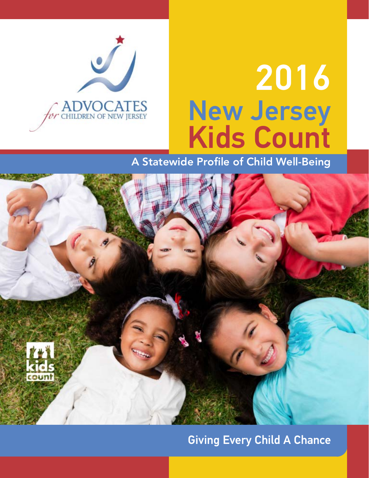

# 2016 New Jersey Kids Count

A Statewide Profile of Child Well-Being



# Giving Every Child A Chance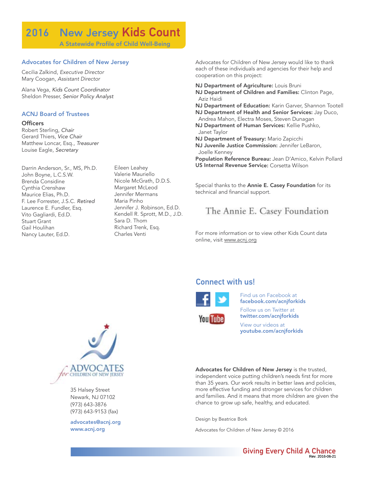# 2016 New Jersey Kids Count

A Statewide Profile of Child Well-Being

#### Advocates for Children of New Jersey

Cecilia Zalkind, Executive Director Mary Coogan, Assistant Director

Alana Vega, Kids Count Coordinator Sheldon Presser, Senior Policy Analyst

#### ACNJ Board of Trustees

#### **Officers**

Robert Sterling, Chair Gerard Thiers, Vice Chair Matthew Loncar, Esq., Treasurer Louise Eagle, Secretary

Darrin Anderson, Sr., MS, Ph.D. John Boyne, L.C.S.W. Brenda Considine Cynthia Crenshaw Maurice Elias, Ph.D. F. Lee Forrester, J.S.C. Retired Laurence E. Fundler, Esq. Vito Gagliardi, Ed.D. Stuart Grant Gail Houlihan Nancy Lauter, Ed.D.

Eileen Leahey Valerie Mauriello Nicole McGrath, D.D.S. Margaret McLeod Jennifer Mermans Maria Pinho Jennifer J. Robinson, Ed.D. Kendell R. Sprott, M.D., J.D. Sara D. Thom Richard Trenk, Esq. Charles Venti

Advocates for Children of New Jersey would like to thank each of these individuals and agencies for their help and cooperation on this project:

NJ Department of Agriculture: Louis Bruni

NJ Department of Children and Families: Clinton Page, Aziz Haidi

NJ Department of Education: Karin Garver, Shannon Tootell NJ Department of Health and Senior Services: Jay Duco,

- Andrea Mahon, Electra Moses, Steven Dunagan
- NJ Department of Human Services: Kellie Pushko, Janet Taylor
- NJ Department of Treasury: Mario Zapicchi
- NJ Juvenile Justice Commission: Jennifer LeBaron, Joelle Kenney

Population Reference Bureau: Jean D'Amico, Kelvin Pollard US Internal Revenue Service: Corsetta Wilson

Special thanks to the Annie E. Casey Foundation for its technical and financial support.

### The Annie E. Casey Foundation

For more information or to view other Kids Count data online, visit www.acnj.org

#### Connect with us!



**You Tube** 

Find us on Facebook at facebook.com/acnjforkids Follow us on Twitter at

twitter.com/acnjforkids

View our videos at youtube.com/acnjforkids

Advocates for Children of New Jersey is the trusted, independent voice putting children's needs first for more than 35 years. Our work results in better laws and policies, more effective funding and stronger services for children and families. And it means that more children are given the chance to grow up safe, healthy, and educated.

Design by Beatrice Bork

Advocates for Children of New Jersey © 2016



35 Halsey Street Newark, NJ 07102 (973) 643-3876 (973) 643-9153 (fax)

advocates@acnj.org www.acnj.org

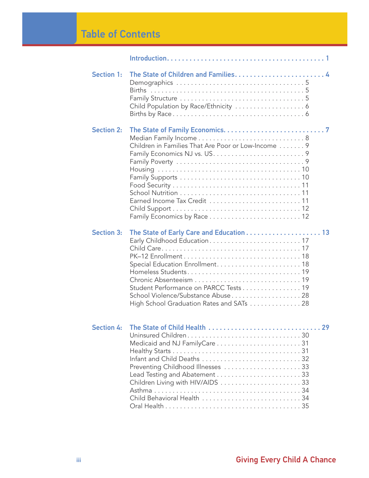# Table of Contents

| <b>Section 1:</b> | Child Population by Race/Ethnicity  6                                                                                   |
|-------------------|-------------------------------------------------------------------------------------------------------------------------|
| <b>Section 2:</b> | Children in Families That Are Poor or Low-Income 9<br>Earned Income Tax Credit  11                                      |
| <b>Section 3:</b> | Student Performance on PARCC Tests 19<br>School Violence/Substance Abuse 28<br>High School Graduation Rates and SATs 28 |
| <b>Section 4:</b> | Preventing Childhood Illnesses 33<br>Child Behavioral Health 34                                                         |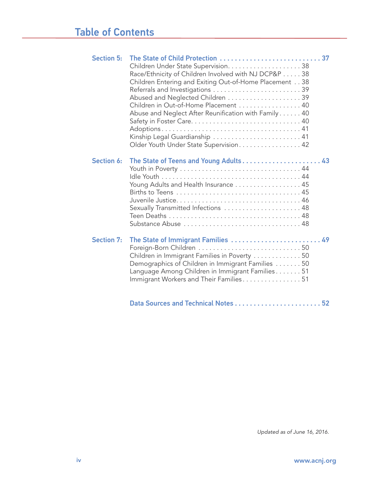| <b>Section 5:</b> | Race/Ethnicity of Children Involved with NJ DCP&P 38<br>Children Entering and Exiting Out-of-Home Placement 38<br>Referrals and Investigations 39<br>Children in Out-of-Home Placement 40<br>Abuse and Neglect After Reunification with Family 40<br>Kinship Legal Guardianship  41<br>Older Youth Under State Supervision. 42 |  |
|-------------------|--------------------------------------------------------------------------------------------------------------------------------------------------------------------------------------------------------------------------------------------------------------------------------------------------------------------------------|--|
| <b>Section 6:</b> | The State of Teens and Young Adults 43<br>Young Adults and Health Insurance 45<br>Sexually Transmitted Infections  48<br>Substance Abuse  48                                                                                                                                                                                   |  |
| <b>Section 7:</b> | The State of Immigrant Families  49<br>Children in Immigrant Families in Poverty  50<br>Demographics of Children in Immigrant Families  50<br>Language Among Children in Immigrant Families51<br>Immigrant Workers and Their Families. 51                                                                                      |  |
|                   |                                                                                                                                                                                                                                                                                                                                |  |

Updated as of June 16, 2016.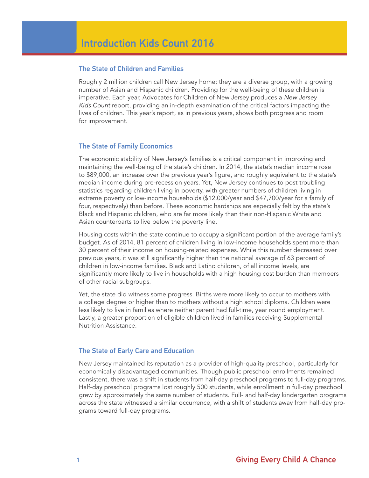#### The State of Children and Families

Roughly 2 million children call New Jersey home; they are a diverse group, with a growing number of Asian and Hispanic children. Providing for the well-being of these children is imperative. Each year, Advocates for Children of New Jersey produces a New Jersey Kids Count report, providing an in-depth examination of the critical factors impacting the lives of children. This year's report, as in previous years, shows both progress and room for improvement.

#### The State of Family Economics

The economic stability of New Jersey's families is a critical component in improving and maintaining the well-being of the state's children. In 2014, the state's median income rose to \$89,000, an increase over the previous year's figure, and roughly equivalent to the state's median income during pre-recession years. Yet, New Jersey continues to post troubling statistics regarding children living in poverty, with greater numbers of children living in extreme poverty or low-income households (\$12,000/year and \$47,700/year for a family of four, respectively) than before. These economic hardships are especially felt by the state's Black and Hispanic children, who are far more likely than their non-Hispanic White and Asian counterparts to live below the poverty line.

Housing costs within the state continue to occupy a significant portion of the average family's budget. As of 2014, 81 percent of children living in low-income households spent more than 30 percent of their income on housing-related expenses. While this number decreased over previous years, it was still significantly higher than the national average of 63 percent of children in low-income families. Black and Latino children, of all income levels, are significantly more likely to live in households with a high housing cost burden than members of other racial subgroups.

Yet, the state did witness some progress. Births were more likely to occur to mothers with a college degree or higher than to mothers without a high school diploma. Children were less likely to live in families where neither parent had full-time, year round employment. Lastly, a greater proportion of eligible children lived in families receiving Supplemental Nutrition Assistance.

#### The State of Early Care and Education

New Jersey maintained its reputation as a provider of high-quality preschool, particularly for economically disadvantaged communities. Though public preschool enrollments remained consistent, there was a shift in students from half-day preschool programs to full-day programs. Half-day preschool programs lost roughly 500 students, while enrollment in full-day preschool grew by approximately the same number of students. Full- and half-day kindergarten programs across the state witnessed a similar occurrence, with a shift of students away from half-day programs toward full-day programs.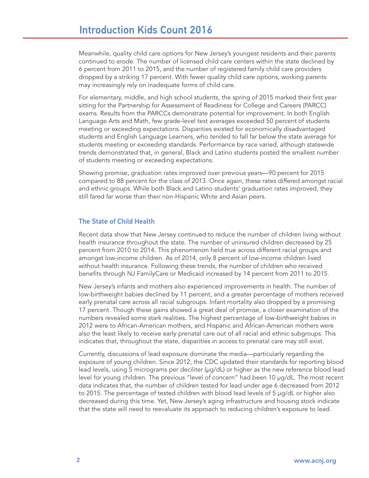Meanwhile, quality child care options for New Jersey's youngest residents and their parents continued to erode. The number of licensed child care centers within the state declined by 6 percent from 2011 to 2015, and the number of registered family child care providers dropped by a striking 17 percent. With fewer quality child care options, working parents may increasingly rely on inadequate forms of child care.

For elementary, middle, and high school students, the spring of 2015 marked their first year sitting for the Partnership for Assessment of Readiness for College and Careers (PARCC) exams. Results from the PARCCs demonstrate potential for improvement. In both English Language Arts and Math, few grade-level test averages exceeded 50 percent of students meeting or exceeding expectations. Disparities existed for economically disadvantaged students and English Language Learners, who tended to fall far below the state average for students meeting or exceeding standards. Performance by race varied, although statewide trends demonstrated that, in general, Black and Latino students posted the smallest number of students meeting or exceeding expectations.

Showing promise, graduation rates improved over previous years—90 percent for 2015 compared to 88 percent for the class of 2013. Once again, these rates differed amongst racial and ethnic groups. While both Black and Latino students' graduation rates improved, they still fared far worse than their non-Hispanic White and Asian peers.

#### The State of Child Health

Recent data show that New Jersey continued to reduce the number of children living without health insurance throughout the state. The number of uninsured children decreased by 25 percent from 2010 to 2014. This phenomenon held true across different racial groups and amongst low-income children. As of 2014, only 8 percent of low-income children lived without health insurance. Following these trends, the number of children who received benefits through NJ FamilyCare or Medicaid increased by 14 percent from 2011 to 2015.

New Jersey's infants and mothers also experienced improvements in health. The number of low-birthweight babies declined by 11 percent, and a greater percentage of mothers received early prenatal care across all racial subgroups. Infant mortality also dropped by a promising 17 percent. Though these gains showed a great deal of promise, a closer examination of the numbers revealed some stark realities. The highest percentage of low-birthweight babies in 2012 were to African-American mothers, and Hispanic and African-American mothers were also the least likely to receive early prenatal care out of all racial and ethnic subgroups. This indicates that, throughout the state, disparities in access to prenatal care may still exist.

Currently, discussions of lead exposure dominate the media—particularly regarding the exposure of young children. Since 2012, the CDC updated their standards for reporting blood lead levels, using 5 micrograms per deciliter (µg/dL) or higher as the new reference blood lead level for young children. The previous "level of concern" had been 10 µg/dL. The most recent data indicates that, the number of children tested for lead under age 6 decreased from 2012 to 2015. The percentage of tested children with blood lead levels of 5 µg/dL or higher also decreased during this time. Yet, New Jersey's aging infrastructure and housing stock indicate that the state will need to reevaluate its approach to reducing children's exposure to lead.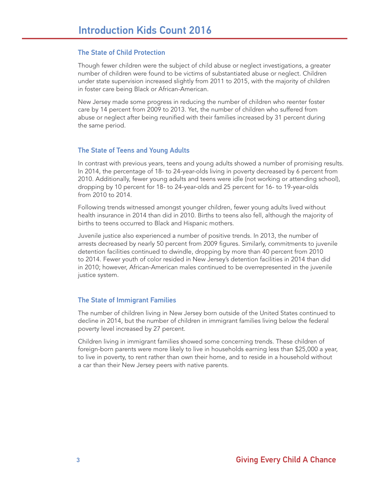#### The State of Child Protection

Though fewer children were the subject of child abuse or neglect investigations, a greater number of children were found to be victims of substantiated abuse or neglect. Children under state supervision increased slightly from 2011 to 2015, with the majority of children in foster care being Black or African-American.

New Jersey made some progress in reducing the number of children who reenter foster care by 14 percent from 2009 to 2013. Yet, the number of children who suffered from abuse or neglect after being reunified with their families increased by 31 percent during the same period.

#### The State of Teens and Young Adults

In contrast with previous years, teens and young adults showed a number of promising results. In 2014, the percentage of 18- to 24-year-olds living in poverty decreased by 6 percent from 2010. Additionally, fewer young adults and teens were idle (not working or attending school), dropping by 10 percent for 18- to 24-year-olds and 25 percent for 16- to 19-year-olds from 2010 to 2014.

Following trends witnessed amongst younger children, fewer young adults lived without health insurance in 2014 than did in 2010. Births to teens also fell, although the majority of births to teens occurred to Black and Hispanic mothers.

Juvenile justice also experienced a number of positive trends. In 2013, the number of arrests decreased by nearly 50 percent from 2009 figures. Similarly, commitments to juvenile detention facilities continued to dwindle, dropping by more than 40 percent from 2010 to 2014. Fewer youth of color resided in New Jersey's detention facilities in 2014 than did in 2010; however, African-American males continued to be overrepresented in the juvenile justice system.

#### The State of Immigrant Families

The number of children living in New Jersey born outside of the United States continued to decline in 2014, but the number of children in immigrant families living below the federal poverty level increased by 27 percent.

Children living in immigrant families showed some concerning trends. These children of foreign-born parents were more likely to live in households earning less than \$25,000 a year, to live in poverty, to rent rather than own their home, and to reside in a household without a car than their New Jersey peers with native parents.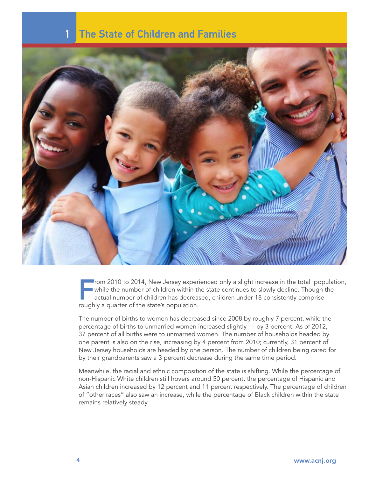### **The State of Children and Families**



From 2010 to 2014, New Jersey experienced only a slight increase in the total population, while the number of children within the state continues to slowly decline. Though the actual number of children has decreased, children under 18 consistently comprise roughly a quarter of the state's population.

The number of births to women has decreased since 2008 by roughly 7 percent, while the percentage of births to unmarried women increased slightly — by 3 percent. As of 2012, 37 percent of all births were to unmarried women. The number of households headed by one parent is also on the rise, increasing by 4 percent from 2010; currently, 31 percent of New Jersey households are headed by one person. The number of children being cared for by their grandparents saw a 3 percent decrease during the same time period.

Meanwhile, the racial and ethnic composition of the state is shifting. While the percentage of non-Hispanic White children still hovers around 50 percent, the percentage of Hispanic and Asian children increased by 12 percent and 11 percent respectively. The percentage of children of "other races" also saw an increase, while the percentage of Black children within the state remains relatively steady.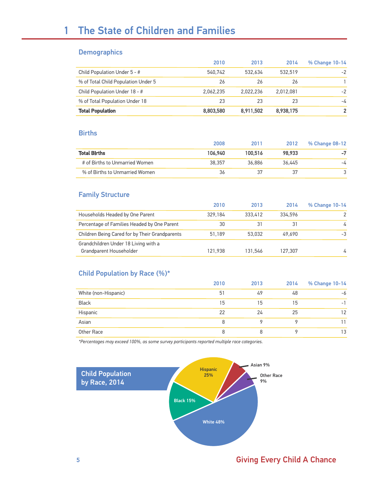### 1 The State of Children and Families

#### **Demographics**

|                                     | 2010      | 2013      | 2014      | % Change 10-14 |
|-------------------------------------|-----------|-----------|-----------|----------------|
| Child Population Under 5 - #        | 540.742   | 532.634   | 532.519   | $-2$           |
| % of Total Child Population Under 5 | 26        | 26        | 26        |                |
| Child Population Under 18 - #       | 2.062.235 | 2.022.236 | 2.012.081 | $-2$           |
| % of Total Population Under 18      | 23        | 23        | 23        | -4             |
| <b>Total Population</b>             | 8,803,580 | 8,911,502 | 8,938,175 |                |

#### **Births**

|                                | 2008    | 2011    | 2012   | % Change 08-12 |
|--------------------------------|---------|---------|--------|----------------|
| <b>Total Births</b>            | 106.940 | 100.516 | 98.933 |                |
| # of Births to Unmarried Women | 38.357  | 36.886  | 36.445 | -4             |
| % of Births to Unmarried Women | 36      | 37      | 37     |                |

#### Family Structure

|                                                                 | 2010    | 2013    | 2014    | % Change 10-14 |
|-----------------------------------------------------------------|---------|---------|---------|----------------|
| Households Headed by One Parent                                 | 329.184 | 333.412 | 334.596 |                |
| Percentage of Families Headed by One Parent                     | 30      | 31      | 31      | $\overline{4}$ |
| Children Being Cared for by Their Grandparents                  | 51.189  | 53,032  | 49.690  | $-3$           |
| Grandchildren Under 18 Living with a<br>Grandparent Householder | 121.938 | 131.546 | 127.307 | 4              |

#### Child Population by Race (%)\*

|                      | 2010 | 2013 | 2014 | % Change 10-14 |
|----------------------|------|------|------|----------------|
| White (non-Hispanic) | 51   | 49   | 48   | -6             |
| <b>Black</b>         | 15   | 15   | 15   | - 1            |
| Hispanic             | 22   | 24   | 25   | 12             |
| Asian                | 8    |      |      |                |
| Other Race           | 8    |      |      | 13             |

*\*Percentages may exceed 100%, as some survey participants reported multiple race categories.*



### 5 Giving Every Child A Chance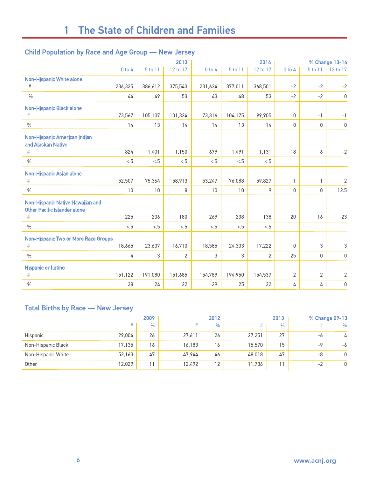#### Child Population by Race and Age Group — New Jersey

|                                                                              |            |         | 2013     |            |         | 2014           |              |                | % Change 13-14 |
|------------------------------------------------------------------------------|------------|---------|----------|------------|---------|----------------|--------------|----------------|----------------|
|                                                                              | $0$ to $4$ | 5 to 11 | 12 to 17 | $0$ to $4$ | 5 to 11 | 12 to 17       | $0$ to $4$   | 5 to 11        | 12 to 17       |
| <b>Non-Hispanic White alone</b>                                              |            |         |          |            |         |                |              |                |                |
| #                                                                            | 236,325    | 386,612 | 375,543  | 231,634    | 377,011 | 368,501        | $-2$         | $-2$           | $-2$           |
| $\%$                                                                         | 44         | 49      | 53       | 43         | 48      | 53             | $-2$         | $-2$           | $\mathbb O$    |
| Non-Hispanic Black alone                                                     |            |         |          |            |         |                |              |                |                |
| #                                                                            | 73,567     | 105,107 | 101,324  | 73,316     | 104,175 | 99,905         | $\mathbf 0$  | $-1$           | $-1$           |
| $\frac{0}{0}$                                                                | 14         | 13      | 14       | 14         | 13      | 14             | $\mathbf{0}$ | $\Omega$       | $\mathbb O$    |
| Non-Hispanic American Indian<br>and Alaskan Native                           |            |         |          |            |         |                |              |                |                |
| $\#$                                                                         | 824        | 1,401   | 1,150    | 679        | 1,491   | 1,131          | $-18$        | 6              | $-2$           |
| $\frac{0}{0}$                                                                | < 5        | < 5     | < 5      | < 5        | < 5     | < 5            |              |                |                |
| Non-Hispanic Asian alone<br>#                                                | 52,507     | 75,364  | 58,913   | 53,247     | 76,088  | 59,827         | $\mathbf{1}$ | $\mathbf{1}$   | $\sqrt{2}$     |
| $\frac{0}{0}$                                                                | 10         | 10      | 8        | 10         | 10      | 9              | 0            | 0              | 12.5           |
| Non-Hispanic Native Hawaiian and<br><b>Other Pacific Islander alone</b><br># | 225        | 206     | 180      | 269        | 238     | 138            | 20           | 16             | $-23$          |
| $\frac{0}{0}$                                                                | < 5        | < 5     | < 5      | < 5        | < 5     | < 5            |              |                |                |
| Non-Hispanic Two or More Race Groups<br>#                                    | 18,665     | 23,607  | 16,710   | 18,585     | 24,303  | 17,222         | 0            | 3              | 3              |
| $\frac{0}{0}$                                                                | 4          | 3       | 2        | 3          | 3       | $\overline{2}$ | $-25$        | 0              | $\mathsf 0$    |
| <b>Hispanic or Latino</b><br>#                                               | 151,122    | 191,080 | 151,685  | 154,789    | 194,950 | 154,537        | 2            | $\overline{2}$ | $\overline{2}$ |
|                                                                              |            |         |          |            |         |                |              |                |                |
| $\%$                                                                         | 28         | 24      | 22       | 29         | 25      | 22             | 4            | 4              | 0              |

#### Total Births by Race — New Jersey

|                    |        | 2009 |        | 2012 |        | 2013 |      | % Change 09-13 |
|--------------------|--------|------|--------|------|--------|------|------|----------------|
|                    |        | $\%$ | #      | $\%$ |        | $\%$ | #    | %              |
| Hispanic           | 29,004 | 26   | 27,611 | 26   | 27,251 | 27   | -6   | 4              |
| Non-Hispanic Black | 17,135 | 16   | 16,183 | 16   | 15,570 | 15   | -9   | -6             |
| Non-Hispanic White | 52,163 | 47   | 47,944 | 46   | 48,018 | 47   | -8   | 0              |
| Other              | 12,029 | 11   | 12,492 | 12   | 11,736 | 11   | $-2$ | 0              |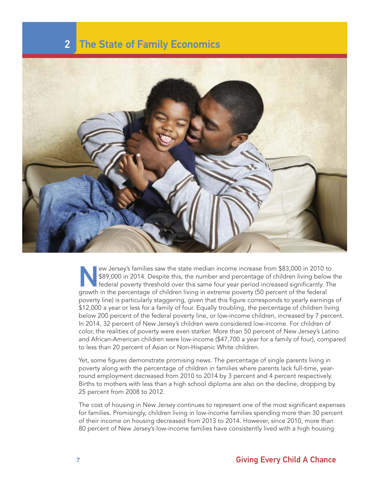### 2 The State of Family Economics



EV The US-S89,000 in 2014. Despite this, the number and percentage of children living below federal poverty threshold over this same four year period increased significantly. The percentage of children living in extreme po \$89,000 in 2014. Despite this, the number and percentage of children living below the federal poverty threshold over this same four year period increased significantly. The growth in the percentage of children living in extreme poverty (50 percent of the federal poverty line) is particularly staggering, given that this figure corresponds to yearly earnings of \$12,000 a year or less for a family of four. Equally troubling, the percentage of children living below 200 percent of the federal poverty line, or low-income children, increased by 7 percent. In 2014, 32 percent of New Jersey's children were considered low-income. For children of color, the realities of poverty were even starker. More than 50 percent of New Jersey's Latino and African-American children were low-income (\$47,700 a year for a family of four), compared to less than 20 percent of Asian or Non-Hispanic White children.

Yet, some figures demonstrate promising news. The percentage of single parents living in poverty along with the percentage of children in families where parents lack full-time, yearround employment decreased from 2010 to 2014 by 3 percent and 4 percent respectively. Births to mothers with less than a high school diploma are also on the decline, dropping by 25 percent from 2008 to 2012.

The cost of housing in New Jersey continues to represent one of the most significant expenses for families. Promisingly, children living in low-income families spending more than 30 percent of their income on housing decreased from 2013 to 2014. However, since 2010, more than 80 percent of New Jersey's low-income families have consistently lived with a high housing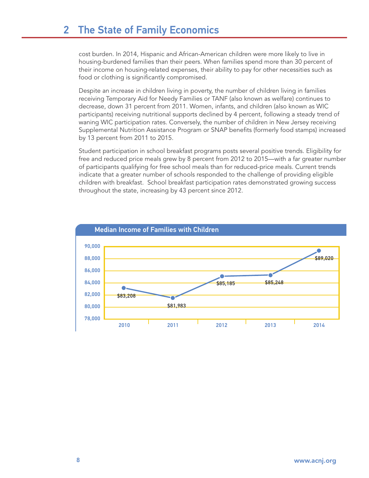cost burden. In 2014, Hispanic and African-American children were more likely to live in housing-burdened families than their peers. When families spend more than 30 percent of their income on housing-related expenses, their ability to pay for other necessities such as food or clothing is significantly compromised.

Despite an increase in children living in poverty, the number of children living in families receiving Temporary Aid for Needy Families or TANF (also known as welfare) continues to decrease, down 31 percent from 2011. Women, infants, and children (also known as WIC participants) receiving nutritional supports declined by 4 percent, following a steady trend of waning WIC participation rates. Conversely, the number of children in New Jersey receiving Supplemental Nutrition Assistance Program or SNAP benefits (formerly food stamps) increased by 13 percent from 2011 to 2015.

Student participation in school breakfast programs posts several positive trends. Eligibility for free and reduced price meals grew by 8 percent from 2012 to 2015—with a far greater number of participants qualifying for free school meals than for reduced-price meals. Current trends indicate that a greater number of schools responded to the challenge of providing eligible children with breakfast. School breakfast participation rates demonstrated growing success throughout the state, increasing by 43 percent since 2012.

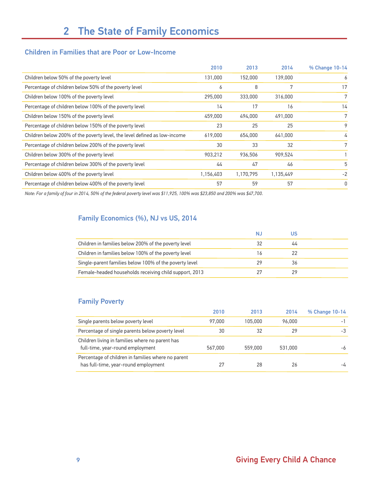#### Children in Families that are Poor or Low-Income

|                                                                           | 2010      | 2013      | 2014      | % Change 10-14 |
|---------------------------------------------------------------------------|-----------|-----------|-----------|----------------|
| Children below 50% of the poverty level                                   | 131,000   | 152,000   | 139,000   | 6              |
| Percentage of children below 50% of the poverty level                     | 6         | 8         | 7         | 17             |
| Children below 100% of the poverty level                                  | 295,000   | 333,000   | 316,000   | 7              |
| Percentage of children below 100% of the poverty level                    | 14        | 17        | 16        | 14             |
| Children below 150% of the poverty level                                  | 459,000   | 494,000   | 491,000   | 7              |
| Percentage of children below 150% of the poverty level                    | 23        | 25        | 25        | 9              |
| Children below 200% of the poverty level, the level defined as low-income | 619,000   | 654,000   | 641,000   | 4              |
| Percentage of children below 200% of the poverty level                    | 30        | 33        | 32        | 7              |
| Children below 300% of the poverty level                                  | 903,212   | 936,506   | 909,524   |                |
| Percentage of children below 300% of the poverty level                    | 44        | 47        | 46        | 5              |
| Children below 400% of the poverty level                                  | 1,156,403 | 1,170,795 | 1,135,449 | $-2$           |
| Percentage of children below 400% of the poverty level                    | 57        | 59        | 57        | 0              |

*Note: For a family of four in 2014, 50% of the federal poverty level was \$11,925, 100% was \$23,850 and 200% was \$47,700.*

#### Family Economics (%), NJ vs US, 2014

|                                                        | N. | US |
|--------------------------------------------------------|----|----|
| Children in families below 200% of the poverty level   | 32 | 44 |
| Children in families below 100% of the poverty level   | 16 | 22 |
| Single-parent families below 100% of the poverty level | 29 | 36 |
| Female-headed households receiving child support, 2013 | 27 | 29 |

#### Family Poverty

|                                                                                            | 2010    | 2013    | 2014    | % Change 10-14 |
|--------------------------------------------------------------------------------------------|---------|---------|---------|----------------|
| Single parents below poverty level                                                         | 97,000  | 105,000 | 96,000  | -              |
| Percentage of single parents below poverty level                                           | 30      | 32      | 29      | -3             |
| Children living in families where no parent has<br>full-time, year-round employment        | 567,000 | 559,000 | 531,000 | -6             |
| Percentage of children in families where no parent<br>has full-time, year-round employment | 27      | 28      | 26      | $-\sqrt{1}$    |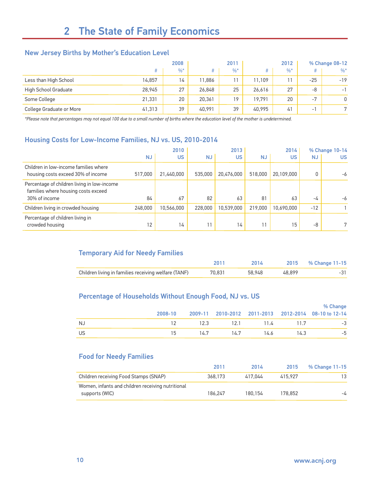#### New Jersey Births by Mother's Education Level

|                          | 2008   |       | 2011   |       | 2012   |        | % Change 08-12 |          |
|--------------------------|--------|-------|--------|-------|--------|--------|----------------|----------|
|                          | #      | $%^*$ |        | $%$ * |        | $\%$ * | #              | $\%^{*}$ |
| Less than High School    | 14,857 | 14    | 11.886 |       | 11.109 | 11     | $-25$          | $-19$    |
| High School Graduate     | 28,945 | 27    | 26,848 | 25    | 26.616 | 27     | -8             | $-1$     |
| Some College             | 21,331 | 20    | 20,361 | 19    | 19.791 | 20     | $-7$           | 0        |
| College Graduate or More | 41,313 | 39    | 40.991 | 39    | 40.995 | 41     | $-1$           | n        |

*\*Please note that percentages may not equal 100 due to a small number of births where the education level of the mother is undetermined.*

#### Housing Costs for Low-Income Families, NJ vs. US, 2010-2014

|                                                                                    |           | 2010       |           | 2013       |           | 2014       |           | % Change 10-14 |
|------------------------------------------------------------------------------------|-----------|------------|-----------|------------|-----------|------------|-----------|----------------|
|                                                                                    | <b>NJ</b> | <b>US</b>  | <b>NJ</b> | US.        | <b>NJ</b> | US         | <b>NJ</b> | <b>US</b>      |
| Children in low-income families where<br>housing costs exceed 30% of income        | 517,000   | 21,440,000 | 535,000   | 20.476.000 | 518,000   | 20,109,000 | 0         | -6             |
| Percentage of children living in low-income<br>families where housing costs exceed |           |            |           |            |           |            |           |                |
| 30% of income                                                                      | 84        | 67         | 82        | 63         | 81        | 63         | -4        | $-6$           |
| Children living in crowded housing                                                 | 248,000   | 10,566,000 | 228,000   | 10.539.000 | 219,000   | 10,690,000 | $-12$     |                |
| Percentage of children living in<br>crowded housing                                | 12        | 14         | 11        | 14         |           | 15         | -8        | 7              |

#### Temporary Aid for Needy Families

|                                                      | 2011   | 2014   |        | 2015 % Change 11-15 |
|------------------------------------------------------|--------|--------|--------|---------------------|
| Children living in families receiving welfare (TANF) | 70.831 | 58.948 | 48.899 |                     |

#### Percentage of Households Without Enough Food, NJ vs. US

|     | 2008-10 |           |      |                     | % Change<br>2009-11 2010-2012 2011-2013 2012-2014 08-10 to 12-14 |
|-----|---------|-----------|------|---------------------|------------------------------------------------------------------|
|     |         |           |      |                     |                                                                  |
| NJ. |         |           |      | 12.3 12.1 11.4 11.7 | -3                                                               |
| US. | 15      | 14.7 14.7 | 14.6 | 14.3                | -5                                                               |

#### Food for Needy Families

|                                                   | 2011    | 2014    | 2015    | % Change 11-15 |
|---------------------------------------------------|---------|---------|---------|----------------|
| Children receiving Food Stamps (SNAP)             | 368,173 | 417.044 | 415.927 | 13.            |
| Women, infants and children receiving nutritional |         |         |         |                |
| supports (WIC)                                    | 186.247 | 180.154 | 178.852 | -4             |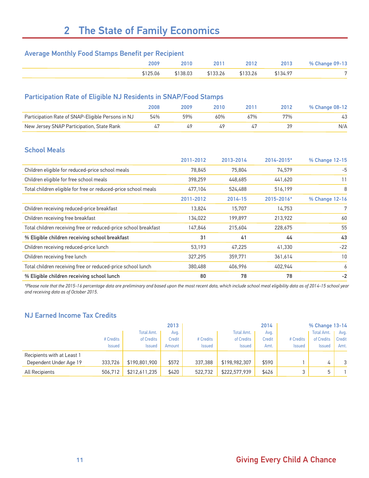# 2 The State of Family Economics

#### Average Monthly Food Stamps Benefit per Recipient

| 2009     | $2010 -$ |          | 2012     | 2013     | % Change 09-13 |
|----------|----------|----------|----------|----------|----------------|
| \$125.06 | \$138.03 | \$133.26 | \$133.26 | \$134.97 |                |

#### Participation Rate of Eligible NJ Residents in SNAP/Food Stamps

|                                                   | 2008 | 2009 | 2010 | 2011 | 2012 | % Change 08-12 |
|---------------------------------------------------|------|------|------|------|------|----------------|
| Participation Rate of SNAP-Eligible Persons in NJ | 54%  | 59%  | 60%  | 67%  | 77%  | 43             |
| New Jersey SNAP Participation, State Rank         |      |      | 49   |      |      | N/A            |

#### School Meals

|                                                                 | 2011-2012 | 2013-2014 | 2014-2015* | % Change 12-15 |
|-----------------------------------------------------------------|-----------|-----------|------------|----------------|
| Children eligible for reduced-price school meals                | 78,845    | 75,804    | 74,579     | -5             |
| Children eligible for free school meals                         | 398,259   | 448,685   | 441,620    | 11             |
| Total children eligible for free or reduced-price school meals  | 477,104   | 524,488   | 516,199    | 8              |
|                                                                 | 2011-2012 | 2014-15   | 2015-2016* | % Change 12-16 |
| Children receiving reduced-price breakfast                      | 13,824    | 15,707    | 14,753     | 7              |
| Children receiving free breakfast                               | 134,022   | 199,897   | 213,922    | 60             |
| Total children receiving free or reduced-price school breakfast | 147,846   | 215,604   | 228,675    | 55             |
| % Eligible children receiving school breakfast                  | 31        | 41        | 44         | 43             |
| Children receiving reduced-price lunch                          | 53,193    | 47,225    | 41,330     | $-22$          |
| Children receiving free lunch                                   | 327,295   | 359,771   | 361,614    | 10             |
| Total children receiving free or reduced-price school lunch     | 380,488   | 406,996   | 402,944    | 6              |
| % Eligible children receiving school lunch                      | 80        | 78        | 78         | $-2$           |

*\*Please note that the 2015-16 percentage data are preliminary and based upon the most recent data, which include school meal eligibility data as of 2014-15 school year and receiving data as of October 2015.*

#### NJ Earned Income Tax Credits

|                            |               |               | 2013          |               |               | 2014          |               | % Change 13-14 |               |
|----------------------------|---------------|---------------|---------------|---------------|---------------|---------------|---------------|----------------|---------------|
|                            |               | Total Amt.    | Avg.          |               | Total Amt.    | Avg.          |               | Total Amt.     | Avg.          |
|                            | # Credits     | of Credits    | <b>Credit</b> | # Credits     | of Credits    | <b>Credit</b> | # Credits     | of Credits     | <b>Credit</b> |
|                            | <b>Issued</b> | <b>Issued</b> | Amount        | <b>Issued</b> | <b>Issued</b> | Amt.          | <b>Issued</b> | <b>Issued</b>  | Amt.          |
| Recipients with at Least 1 |               |               |               |               |               |               |               |                |               |
| Dependent Under Age 19     | 333.726       | \$190,801,900 | \$572         | 337,388       | \$198,982,307 | \$590         |               | 4              | 3             |
| All Recipients             | 506.712       | \$212,611,235 | \$420         | 522,732       | \$222,577,939 | \$426         |               | ц              |               |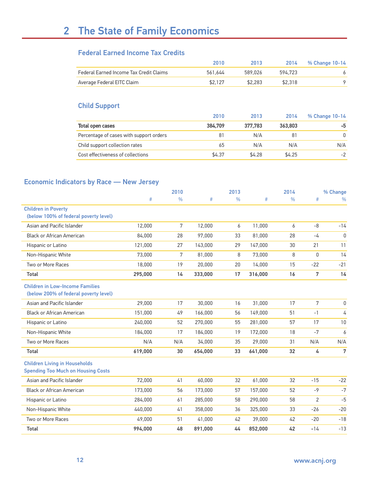# 2 The State of Family Economics

#### Federal Earned Income Tax Credits

|                                         | 2010    | 2013    | 2014    | % Change 10-14 |
|-----------------------------------------|---------|---------|---------|----------------|
| Federal Earned Income Tax Credit Claims | 561.644 | 589.026 | 594.723 |                |
| Average Federal EITC Claim              | \$2.127 | \$2.283 | \$2.318 |                |

#### Child Support

|                                         | 2010    | 2013    | 2014    | % Change 10-14 |
|-----------------------------------------|---------|---------|---------|----------------|
| Total open cases                        | 384.709 | 377.783 | 363,803 | -5             |
| Percentage of cases with support orders | 81      | N/A     | 81      | $\Omega$       |
| Child support collection rates          | 65      | N/A     | N/A     | N/A            |
| Cost effectiveness of collections       | \$4.37  | \$4.28  | \$4.25  | $-2$           |

#### Economic Indicators by Race — New Jersey

| <u></u>                                                                           |         |               |         |               |         |               |                 |               |
|-----------------------------------------------------------------------------------|---------|---------------|---------|---------------|---------|---------------|-----------------|---------------|
|                                                                                   |         | 2010          |         | 2013          |         | 2014          |                 | % Change      |
|                                                                                   | $\#$    | $\frac{0}{0}$ | #       | $\frac{0}{0}$ | $\#$    | $\frac{0}{0}$ | $\#$            | $\frac{0}{0}$ |
| <b>Children in Poverty</b>                                                        |         |               |         |               |         |               |                 |               |
| (below 100% of federal poverty level)                                             |         |               |         |               |         |               |                 |               |
| Asian and Pacific Islander                                                        | 12,000  | 7             | 12,000  | 6             | 11,000  | 6             | $-8$            | $-14$         |
| <b>Black or African American</b>                                                  | 84.000  | 28            | 97,000  | 33            | 81,000  | 28            | $-4$            | $\mathbf{0}$  |
| Hispanic or Latino                                                                | 121,000 | 27            | 143,000 | 29            | 147,000 | 30            | 21              | 11            |
| Non-Hispanic White                                                                | 73,000  | 7             | 81,000  | 8             | 73,000  | 8             | $\mathbf{0}$    | 14            |
| Two or More Races                                                                 | 18,000  | 19            | 20,000  | 20            | 14,000  | 15            | $-22$           | $-21$         |
| Total                                                                             | 295,000 | 14            | 333,000 | 17            | 316,000 | 16            | $\overline{7}$  | 14            |
| <b>Children in Low-Income Families</b>                                            |         |               |         |               |         |               |                 |               |
| (below 200% of federal poverty level)                                             |         |               |         |               |         |               |                 |               |
| Asian and Pacific Islander                                                        | 29,000  | 17            | 30,000  | 16            | 31,000  | 17            | $7\overline{ }$ | $\mathbf{0}$  |
| <b>Black or African American</b>                                                  | 151.000 | 49            | 166,000 | 56            | 149,000 | 51            | $-1$            | 4             |
| Hispanic or Latino                                                                | 240,000 | 52            | 270,000 | 55            | 281,000 | 57            | 17              | 10            |
| Non-Hispanic White                                                                | 184,000 | 17            | 184,000 | 19            | 172,000 | 18            | $-7$            | 6             |
| Two or More Races                                                                 | N/A     | N/A           | 34,000  | 35            | 29,000  | 31            | N/A             | N/A           |
| Total                                                                             | 619,000 | 30            | 654,000 | 33            | 641,000 | 32            | 4               | 7             |
| <b>Children Living in Households</b><br><b>Spending Too Much on Housing Costs</b> |         |               |         |               |         |               |                 |               |
| Asian and Pacific Islander                                                        | 72,000  | 41            | 60,000  | 32            | 61,000  | 32            | $-15$           | $-22$         |
| <b>Black or African American</b>                                                  | 173,000 | 56            | 173,000 | 57            | 157,000 | 52            | $-9$            | $-7$          |
| Hispanic or Latino                                                                | 284,000 | 61            | 285,000 | 58            | 290,000 | 58            | 2               | $-5$          |
| Non-Hispanic White                                                                | 440,000 | 41            | 358,000 | 36            | 325,000 | 33            | $-26$           | $-20$         |
| Two or More Races                                                                 | 49.000  | 51            | 41,000  | 42            | 39,000  | 42            | $-20$           | $-18$         |
| <b>Total</b>                                                                      | 994,000 | 48            | 891,000 | 44            | 852,000 | 42            | $-14$           | $-13$         |
|                                                                                   |         |               |         |               |         |               |                 |               |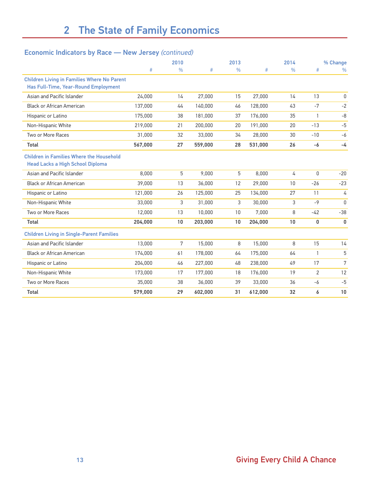#### Economic Indicators by Race — New Jersey *(continued)*

|                                                                                            |         | 2010          |         | 2013          |         | 2014          |                | % Change      |  |
|--------------------------------------------------------------------------------------------|---------|---------------|---------|---------------|---------|---------------|----------------|---------------|--|
|                                                                                            | #       | $\frac{0}{0}$ | #       | $\frac{0}{0}$ | $\#$    | $\frac{0}{0}$ | #              | $\frac{0}{0}$ |  |
| <b>Children Living in Families Where No Parent</b><br>Has Full-Time, Year-Round Employment |         |               |         |               |         |               |                |               |  |
| Asian and Pacific Islander                                                                 | 24,000  | 14            | 27,000  | 15            | 27,000  | 14            | 13             | 0             |  |
| <b>Black or African American</b>                                                           | 137,000 | 44            | 140,000 | 46            | 128,000 | 43            | $-7$           | $-2$          |  |
| Hispanic or Latino                                                                         | 175,000 | 38            | 181,000 | 37            | 176,000 | 35            | $\mathbf{1}$   | $-8$          |  |
| Non-Hispanic White                                                                         | 219,000 | 21            | 200,000 | 20            | 191.000 | 20            | $-13$          | $-5$          |  |
| Two or More Races                                                                          | 31,000  | 32            | 33,000  | 34            | 28,000  | 30            | $-10$          | -6            |  |
| <b>Total</b>                                                                               | 567,000 | 27            | 559,000 | 28            | 531,000 | 26            | -6             | $-4$          |  |
| <b>Children in Families Where the Household</b><br><b>Head Lacks a High School Diploma</b> |         |               |         |               |         |               |                |               |  |
| Asian and Pacific Islander                                                                 | 8.000   | 5             | 9.000   | 5             | 8.000   | 4             | $\mathbf{0}$   | $-20$         |  |
| <b>Black or African American</b>                                                           | 39,000  | 13            | 36,000  | 12            | 29,000  | 10            | $-26$          | $-23$         |  |
| Hispanic or Latino                                                                         | 121,000 | 26            | 125,000 | 25            | 134,000 | 27            | 11             | 4             |  |
| Non-Hispanic White                                                                         | 33,000  | 3             | 31,000  | 3             | 30,000  | 3             | $-9$           | 0             |  |
| Two or More Races                                                                          | 12,000  | 13            | 10,000  | 10            | 7,000   | 8             | $-42$          | $-38$         |  |
| Total                                                                                      | 204,000 | 10            | 203,000 | 10            | 204,000 | 10            | 0              | $\bf{0}$      |  |
| <b>Children Living in Single-Parent Families</b>                                           |         |               |         |               |         |               |                |               |  |
| Asian and Pacific Islander                                                                 | 13,000  | 7             | 15,000  | 8             | 15,000  | 8             | 15             | 14            |  |
| <b>Black or African American</b>                                                           | 174,000 | 61            | 178,000 | 64            | 175,000 | 64            | $\mathbf{1}$   | 5             |  |
| Hispanic or Latino                                                                         | 204.000 | 46            | 227,000 | 48            | 238,000 | 49            | 17             | 7             |  |
| Non-Hispanic White                                                                         | 173,000 | 17            | 177,000 | 18            | 176,000 | 19            | $\overline{2}$ | 12            |  |
| Two or More Races                                                                          | 35,000  | 38            | 36,000  | 39            | 33,000  | 36            | -6             | $-5$          |  |
| <b>Total</b>                                                                               | 579,000 | 29            | 602,000 | 31            | 612,000 | 32            | 6              | 10            |  |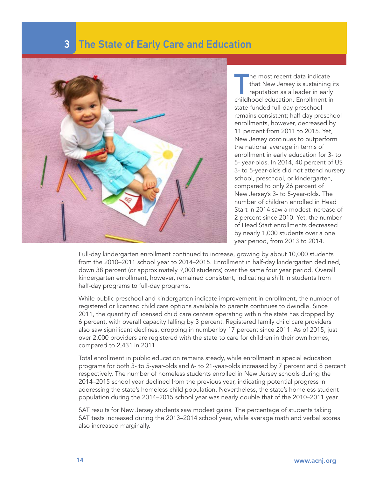### **3 The State of Early Care and Education**



The most recent data indicate<br>that New Jersey is sustaining i<br>reputation as a leader in early<br>childhood education. Enrollment in he most recent data indicate that New Jersey is sustaining its reputation as a leader in early state-funded full-day preschool remains consistent; half-day preschool enrollments, however, decreased by 11 percent from 2011 to 2015. Yet, New Jersey continues to outperform the national average in terms of enrollment in early education for 3- to 5- year-olds. In 2014, 40 percent of US 3- to 5-year-olds did not attend nursery school, preschool, or kindergarten, compared to only 26 percent of New Jersey's 3- to 5-year-olds. The number of children enrolled in Head Start in 2014 saw a modest increase of 2 percent since 2010. Yet, the number of Head Start enrollments decreased by nearly 1,000 students over a one year period, from 2013 to 2014.

Full-day kindergarten enrollment continued to increase, growing by about 10,000 students from the 2010–2011 school year to 2014–2015. Enrollment in half-day kindergarten declined, down 38 percent (or approximately 9,000 students) over the same four year period. Overall kindergarten enrollment, however, remained consistent, indicating a shift in students from half-day programs to full-day programs.

While public preschool and kindergarten indicate improvement in enrollment, the number of registered or licensed child care options available to parents continues to dwindle. Since 2011, the quantity of licensed child care centers operating within the state has dropped by 6 percent, with overall capacity falling by 3 percent. Registered family child care providers also saw significant declines, dropping in number by 17 percent since 2011. As of 2015, just over 2,000 providers are registered with the state to care for children in their own homes, compared to 2,431 in 2011.

Total enrollment in public education remains steady, while enrollment in special education programs for both 3- to 5-year-olds and 6- to 21-year-olds increased by 7 percent and 8 percent respectively. The number of homeless students enrolled in New Jersey schools during the 2014–2015 school year declined from the previous year, indicating potential progress in addressing the state's homeless child population. Nevertheless, the state's homeless student population during the 2014–2015 school year was nearly double that of the 2010–2011 year.

SAT results for New Jersey students saw modest gains. The percentage of students taking SAT tests increased during the 2013–2014 school year, while average math and verbal scores also increased marginally.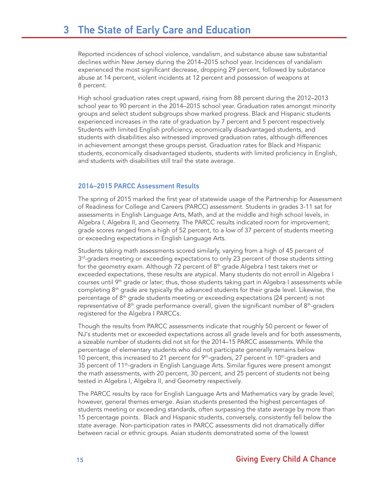Reported incidences of school violence, vandalism, and substance abuse saw substantial declines within New Jersey during the 2014–2015 school year. Incidences of vandalism experienced the most significant decrease, dropping 29 percent, followed by substance abuse at 14 percent, violent incidents at 12 percent and possession of weapons at 8 percent.

High school graduation rates crept upward, rising from 88 percent during the 2012–2013 school year to 90 percent in the 2014–2015 school year. Graduation rates amongst minority groups and select student subgroups show marked progress. Black and Hispanic students experienced increases in the rate of graduation by 7 percent and 5 percent respectively. Students with limited English proficiency, economically disadvantaged students, and students with disabilities also witnessed improved graduation rates, although differences in achievement amongst these groups persist. Graduation rates for Black and Hispanic students, economically disadvantaged students, students with limited proficiency in English, and students with disabilities still trail the state average.

#### 2014–2015 PARCC Assessment Results

The spring of 2015 marked the first year of statewide usage of the Partnership for Assessment of Readiness for College and Careers (PARCC) assessment. Students in grades 3-11 sat for assessments in English Language Arts, Math, and at the middle and high school levels, in Algebra I, Algebra II, and Geometry. The PARCC results indicated room for improvement; grade scores ranged from a high of 52 percent, to a low of 37 percent of students meeting or exceeding expectations in English Language Arts.

Students taking math assessments scored similarly, varying from a high of 45 percent of 3<sup>rd</sup>-graders meeting or exceeding expectations to only 23 percent of those students sitting for the geometry exam. Although 72 percent of  $8<sup>th</sup>$  grade Algebra I test takers met or exceeded expectations, these results are atypical. Many students do not enroll in Algebra I courses until  $9<sup>th</sup>$  grade or later; thus, those students taking part in Algebra I assessments while completing 8th grade are typically the advanced students for their grade level. Likewise, the percentage of  $8<sup>th</sup>$  grade students meeting or exceeding expectations (24 percent) is not representative of 8<sup>th</sup> grade performance overall, given the significant number of 8<sup>th</sup>-graders registered for the Algebra I PARCCs.

Though the results from PARCC assessments indicate that roughly 50 percent or fewer of NJ's students met or exceeded expectations across all grade levels and for both assessments, a sizeable number of students did not sit for the 2014–15 PARCC assessments. While the percentage of elementary students who did not participate generally remains below 10 percent, this increased to 21 percent for  $9<sup>th</sup>$ -graders, 27 percent in 10<sup>th</sup>-graders and 35 percent of  $11<sup>th</sup>$ -graders in English Language Arts. Similar figures were present amongst the math assessments, with 20 percent, 30 percent, and 25 percent of students not being tested in Algebra I, Algebra II, and Geometry respectively.

The PARCC results by race for English Language Arts and Mathematics vary by grade level; however, general themes emerge. Asian students presented the highest percentages of students meeting or exceeding standards, often surpassing the state average by more than 15 percentage points. Black and Hispanic students, conversely, consistently fell below the state average. Non-participation rates in PARCC assessments did not dramatically differ between racial or ethnic groups. Asian students demonstrated some of the lowest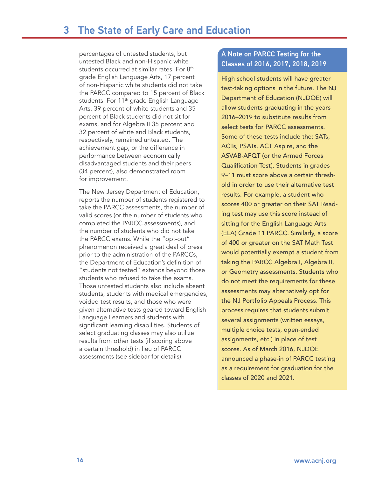percentages of untested students, but untested Black and non-Hispanic white students occurred at similar rates. For 8th grade English Language Arts, 17 percent of non-Hispanic white students did not take the PARCC compared to 15 percent of Black students. For 11<sup>th</sup> grade English Language Arts, 39 percent of white students and 35 percent of Black students did not sit for exams, and for Algebra II 35 percent and 32 percent of white and Black students, respectively, remained untested. The achievement gap, or the difference in performance between economically disadvantaged students and their peers (34 percent), also demonstrated room for improvement.

The New Jersey Department of Education, reports the number of students registered to take the PARCC assessments, the number of valid scores (or the number of students who completed the PARCC assessments), and the number of students who did not take the PARCC exams. While the "opt-out" phenomenon received a great deal of press prior to the administration of the PARCCs, the Department of Education's definition of "students not tested" extends beyond those students who refused to take the exams. Those untested students also include absent students, students with medical emergencies, voided test results, and those who were given alternative tests geared toward English Language Learners and students with significant learning disabilities. Students of select graduating classes may also utilize results from other tests (if scoring above a certain threshold) in lieu of PARCC assessments (see sidebar for details).

#### A Note on PARCC Testing for the Classes of 2016, 2017, 2018, 2019

High school students will have greater test-taking options in the future. The NJ Department of Education (NJDOE) will allow students graduating in the years 2016–2019 to substitute results from select tests for PARCC assessments. Some of these tests include the: SATs, ACTs, PSATs, ACT Aspire, and the ASVAB-AFQT (or the Armed Forces Qualification Test). Students in grades 9–11 must score above a certain threshold in order to use their alternative test results. For example, a student who scores 400 or greater on their SAT Reading test may use this score instead of sitting for the English Language Arts (ELA) Grade 11 PARCC. Similarly, a score of 400 or greater on the SAT Math Test would potentially exempt a student from taking the PARCC Algebra I, Algebra II, or Geometry assessments. Students who do not meet the requirements for these assessments may alternatively opt for the NJ Portfolio Appeals Process. This process requires that students submit several assignments (written essays, multiple choice tests, open-ended assignments, etc.) in place of test scores. As of March 2016, NJDOE announced a phase-in of PARCC testing as a requirement for graduation for the classes of 2020 and 2021.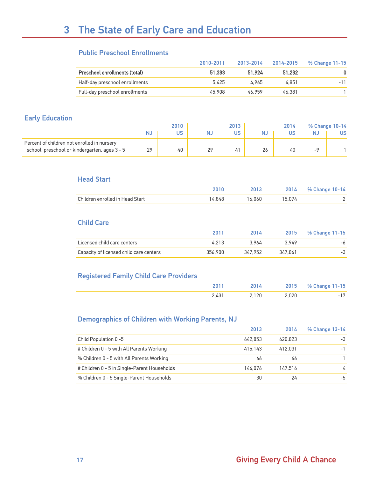#### Public Preschool Enrollments

|                                | 2010-2011 | 2013-2014 | 2014-2015 | % Change 11-15 |
|--------------------------------|-----------|-----------|-----------|----------------|
| Preschool enrollments (total)  | 51.333    | 51.924    | 51.232    |                |
| Half-day preschool enrollments | 5.425     | 4.965     | 4.851     | $-11$          |
| Full-day preschool enrollments | 45.908    | 46.959    | 46.381    |                |

#### Early Education

|                                                                                              |    | 2010 |    | 2013 |    | 2014 | % Change 10-14 |
|----------------------------------------------------------------------------------------------|----|------|----|------|----|------|----------------|
|                                                                                              |    | US   | NJ | US   | NJ | US   | US             |
| Percent of children not enrolled in nursery<br>school, preschool or kindergarten, ages 3 - 5 | 29 | 40   | 29 | 41   | 26 | 40   |                |

#### Head Start

|                                 |        | 2013. | 2014   | % Change 10-14 |
|---------------------------------|--------|-------|--------|----------------|
| Children enrolled in Head Start | 14.848 | 6.060 | 15.074 |                |

#### Child Care

|                                         | 2011    | 2014    | 2015    | % Change 11-15 |
|-----------------------------------------|---------|---------|---------|----------------|
| Licensed child care centers             | 4.213   | 3.964   | 3.949   | -6             |
| Capacity of licensed child care centers | 356.900 | 347.952 | 347.861 | - 3            |

#### Registered Family Child Care Providers

|  |       | 2015  | % Change 11-15 |
|--|-------|-------|----------------|
|  | 2,120 | 2,020 |                |

#### Demographics of Children with Working Parents, NJ

|                                              | 2013    | 2014    | % Change 13-14 |
|----------------------------------------------|---------|---------|----------------|
| Child Population 0-5                         | 642.853 | 620,823 | -3             |
| # Children 0 - 5 with All Parents Working    | 415.143 | 412.031 | - 1            |
| % Children 0 - 5 with All Parents Working    | 66      | 66      |                |
| # Children 0 - 5 in Single-Parent Households | 146.076 | 147.516 | $\overline{4}$ |
| % Children 0 - 5 Single-Parent Households    | 30      | 24      | -5             |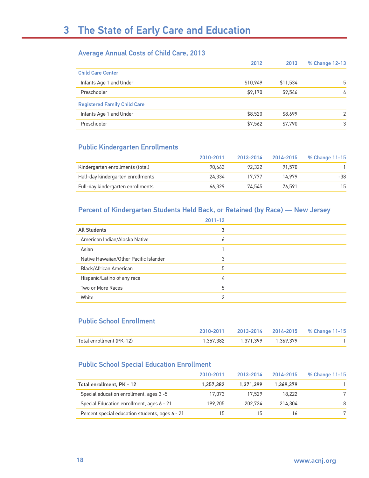#### Average Annual Costs of Child Care, 2013

|                                     | 2012     | 2013     | % Change 12-13 |
|-------------------------------------|----------|----------|----------------|
| <b>Child Care Center</b>            |          |          |                |
| Infants Age 1 and Under             | \$10,949 | \$11,534 | 5              |
| Preschooler                         | \$9,170  | \$9.546  | 4              |
| <b>Registered Family Child Care</b> |          |          |                |
| Infants Age 1 and Under             | \$8,520  | \$8,699  | $\mathcal{P}$  |
| Preschooler                         | \$7,562  | \$7,790  | 3              |

#### Public Kindergarten Enrollments

|                                   | 2010-2011 | 2013-2014 | 2014-2015 | % Change 11-15 |
|-----------------------------------|-----------|-----------|-----------|----------------|
| Kindergarten enrollments (total)  | 90.663    | 92.322    | 91.570    |                |
| Half-day kindergarten enrollments | 24.334    | 17.777    | 14.979    | -38            |
| Full-day kindergarten enrollments | 66.329    | 74.545    | 76.591    | 15             |

#### Percent of Kindergarten Students Held Back, or Retained (by Race) — New Jersey

|                                        | 2011-12 |  |
|----------------------------------------|---------|--|
| <b>All Students</b>                    | 3       |  |
| American Indian/Alaska Native          | 6       |  |
| Asian                                  |         |  |
| Native Hawaiian/Other Pacific Islander | 3       |  |
| Black/African American                 | 5       |  |
| Hispanic/Latino of any race            | 4       |  |
| Two or More Races                      | 5       |  |
| White                                  | 2       |  |
|                                        |         |  |

#### Public School Enrollment

|                          |                               | 2010-2011 2013-2014 2014-2015 % Change 11-15 |
|--------------------------|-------------------------------|----------------------------------------------|
| Total enrollment (PK-12) | 1.357.382 1.371.399 1.369.379 |                                              |

#### Public School Special Education Enrollment

|                                                 | 2010-2011 | 2013-2014 | 2014-2015 | % Change 11-15 |
|-------------------------------------------------|-----------|-----------|-----------|----------------|
| Total enrollment, PK - 12                       | 1.357.382 | 1.371.399 | 1,369,379 |                |
| Special education enrollment, ages 3-5          | 17.073    | 17.529    | 18.222    |                |
| Special Education enrollment, ages 6 - 21       | 199.205   | 202.724   | 214.304   | 8              |
| Percent special education students, ages 6 - 21 | 15        | 15        |           |                |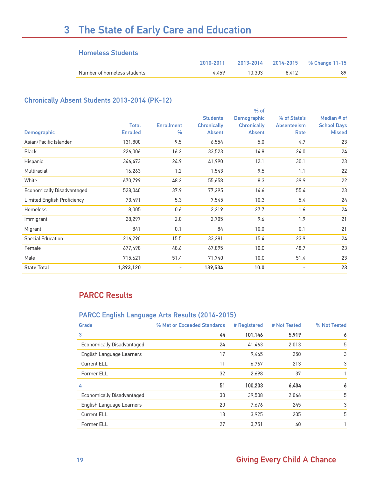# 3 The State of Early Care and Education

#### Homeless Students

|                             |       |        |       | 2010-2011 2013-2014 2014-2015 % Change 11-15 |
|-----------------------------|-------|--------|-------|----------------------------------------------|
| Number of homeless students | 4.459 | 10.303 | 8.412 | 89                                           |

#### Chronically Absent Students 2013-2014 (PK-12)

|                                    |                 |                   |                    | $%$ of             |                    |                    |
|------------------------------------|-----------------|-------------------|--------------------|--------------------|--------------------|--------------------|
|                                    |                 |                   | <b>Students</b>    | Demographic        | % of State's       | Median # of        |
|                                    | <b>Total</b>    | <b>Enrollment</b> | <b>Chronically</b> | <b>Chronically</b> | <b>Absenteeism</b> | <b>School Days</b> |
| <b>Demographic</b>                 | <b>Enrolled</b> | $\frac{0}{0}$     | <b>Absent</b>      | <b>Absent</b>      | Rate               | <b>Missed</b>      |
| Asian/Pacific Islander             | 131,800         | 9.5               | 6,554              | 5.0                | 4.7                | 23                 |
| <b>Black</b>                       | 226,006         | 16.2              | 33,523             | 14.8               | 24.0               | 24                 |
| Hispanic                           | 346,473         | 24.9              | 41,990             | 12.1               | 30.1               | 23                 |
| Multiracial                        | 16,263          | 1.2               | 1,543              | 9.5                | 1.1                | 22                 |
| White                              | 670,799         | 48.2              | 55,658             | 8.3                | 39.9               | 22                 |
| <b>Economically Disadvantaged</b>  | 528,040         | 37.9              | 77,295             | 14.6               | 55.4               | 23                 |
| <b>Limited English Proficiency</b> | 73,491          | 5.3               | 7,545              | 10.3               | 5.4                | 24                 |
| Homeless                           | 8,005           | 0.6               | 2,219              | 27.7               | 1.6                | 24                 |
| Immigrant                          | 28,297          | 2.0               | 2,705              | 9.6                | 1.9                | 21                 |
| Migrant                            | 841             | 0.1               | 84                 | 10.0               | 0.1                | 21                 |
| <b>Special Education</b>           | 216,290         | 15.5              | 33,281             | 15.4               | 23.9               | 24                 |
| Female                             | 677,498         | 48.6              | 67,895             | 10.0               | 48.7               | 23                 |
| Male                               | 715,621         | 51.4              | 71,740             | 10.0               | 51.4               | 23                 |
| <b>State Total</b>                 | 1,393,120       | ۰                 | 139,534            | 10.0               | ٠                  | 23                 |

#### PARCC Results

#### PARCC English Language Arts Results (2014-2015)

| % Met or Exceeded Standards | # Registered | # Not Tested | % Not Tested |
|-----------------------------|--------------|--------------|--------------|
| 44                          | 101,146      | 5,919        | 6            |
| 24                          | 41,463       | 2,013        | 5            |
| 17                          | 9,465        | 250          | 3            |
| 11                          | 6,767        | 213          | 3            |
| 32                          | 2,698        | 37           |              |
| 51                          | 100,203      | 6,434        | 6            |
| 30                          | 39,508       | 2,066        | 5            |
| 20                          | 7,676        | 245          | 3            |
| 13                          | 3.925        | 205          | 5            |
| 27                          | 3.751        | 40           |              |
|                             |              |              |              |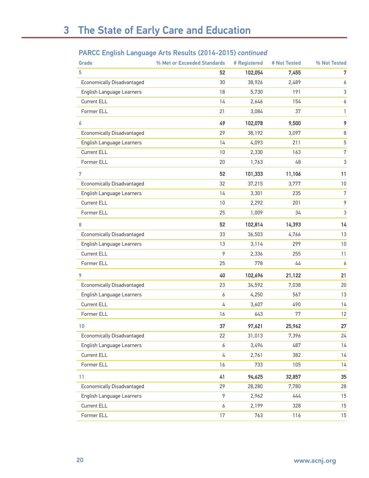#### PARCC English Language Arts Results (2014-2015) *continued*

| Grade                             | % Met or Exceeded Standards | # Registered | # Not Tested | % Not Tested   |
|-----------------------------------|-----------------------------|--------------|--------------|----------------|
| 5                                 | 52                          | 102,054      | 7,455        | 7              |
| <b>Economically Disadvantaged</b> | 30                          | 38,926       | 2,489        | 6              |
| English Language Learners         | 18                          | 5,730        | 191          | 3              |
| Current ELL                       | 14                          | 2,646        | 154          | 6              |
| Former ELL                        | 21                          | 3,084        | 37           | $\mathbf{1}$   |
| 6                                 | 49                          | 102,078      | 9,500        | 9              |
| <b>Economically Disadvantaged</b> | 29                          | 38,192       | 3,097        | 8              |
| English Language Learners         | 14                          | 4,093        | 211          | 5              |
| Current ELL                       | 10                          | 2,330        | 163          | 7              |
| Former ELL                        | 20                          | 1,763        | 48           | 3              |
| 7                                 | 52                          | 101,333      | 11,106       | 11             |
| <b>Economically Disadvantaged</b> | 32                          | 37,215       | 3,777        | 10             |
| English Language Learners         | 14                          | 3,301        | 235          | $\overline{7}$ |
| Current ELL                       | 10                          | 2,292        | 201          | 9              |
| Former ELL                        | 25                          | 1,009        | 34           | 3              |
| 8                                 | 52                          | 102,814      | 14,393       | 14             |
| <b>Economically Disadvantaged</b> | 33                          | 36,503       | 4,766        | 13             |
| English Language Learners         | 13                          | 3,114        | 299          | 10             |
| Current ELL                       | 9                           | 2,336        | 255          | 11             |
| Former ELL                        | 25                          | 778          | 44           | 6              |
| 9                                 | 40                          | 102,696      | 21,122       | 21             |
| <b>Economically Disadvantaged</b> | 23                          | 34,592       | 7,038        | 20             |
| English Language Learners         | 6                           | 4,250        | 567          | 13             |
| Current ELL                       | 4                           | 3,607        | 490          | 14             |
| Former ELL                        | 16                          | 643          | 77           | 12             |
| 10                                | 37                          | 97,621       | 25,962       | 27             |
| <b>Economically Disadvantaged</b> | 22                          | 31,013       | 7,396        | 24             |
| English Language Learners         | 6                           | 3,494        | 487          | 14             |
| Current ELL                       | 4                           | 2,761        | 382          | 14             |
| Former ELL                        | 16                          | 733          | 105          | 14             |
| 11                                | 41                          | 94,625       | 32,857       | 35             |
| <b>Economically Disadvantaged</b> | 29                          | 28,280       | 7,780        | 28             |
| English Language Learners         | 9                           | 2,962        | 444          | 15             |
| Current ELL                       | 6                           | 2,199        | 328          | 15             |
| Former ELL                        | 17                          | 763          | 116          | 15             |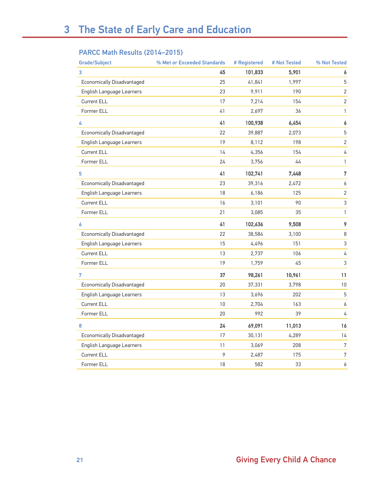#### PARCC Math Results (2014–2015)

| <b>Grade/Subject</b>              | % Met or Exceeded Standards | # Registered | # Not Tested | % Not Tested     |
|-----------------------------------|-----------------------------|--------------|--------------|------------------|
| 3                                 | 45                          | 101,833      | 5,901        | 6                |
| <b>Economically Disadvantaged</b> | 25                          | 41,841       | 1,997        | $\mathbf 5$      |
| English Language Learners         | 23                          | 9,911        | 190          | $\overline{2}$   |
| Current ELL                       | 17                          | 7,214        | 154          | $\overline{2}$   |
| Former ELL                        | 41                          | 2,697        | 36           | $\mathbf{1}$     |
| 4                                 | 41                          | 100,938      | 6,454        | 6                |
| <b>Economically Disadvantaged</b> | 22                          | 39,887       | 2,073        | $\mathbf 5$      |
| English Language Learners         | 19                          | 8,112        | 198          | $\overline{2}$   |
| Current ELL                       | 14                          | 4,356        | 154          | $\sqrt{4}$       |
| Former ELL                        | 24                          | 3,756        | 44           | $\mathbf{1}$     |
| 5                                 | 41                          | 102,741      | 7,448        | $\overline{7}$   |
| <b>Economically Disadvantaged</b> | 23                          | 39,316       | 2,472        | 6                |
| English Language Learners         | 18                          | 6,186        | 125          | $\sqrt{2}$       |
| Current ELL                       | 16                          | 3,101        | 90           | $\mathsf 3$      |
| Former ELL                        | 21                          | 3,085        | 35           | 1                |
| 6                                 | 41                          | 102,636      | 9,508        | 9                |
| <b>Economically Disadvantaged</b> | 22                          | 38,584       | 3,100        | $\,8\,$          |
| English Language Learners         | 15                          | 4,496        | 151          | $\mathsf 3$      |
| Current ELL                       | 13                          | 2,737        | 106          | 4                |
| Former ELL                        | 19                          | 1,759        | 45           | $\mathsf 3$      |
| 7                                 | 37                          | 98,261       | 10,961       | 11               |
| <b>Economically Disadvantaged</b> | 20                          | 37,331       | 3,798        | $10$             |
| English Language Learners         | 13                          | 3,696        | 202          | $\mathbf 5$      |
| Current ELL                       | 10                          | 2,704        | 163          | $\pmb{6}$        |
| Former ELL                        | 20                          | 992          | 39           | 4                |
| 8                                 | 24                          | 69,091       | 11,013       | 16               |
| <b>Economically Disadvantaged</b> | 17                          | 30,131       | 4,289        | 14               |
| English Language Learners         | 11                          | 3,069        | 208          | $\boldsymbol{7}$ |
| Current ELL                       | 9                           | 2,487        | 175          | $\sqrt{7}$       |
| <b>Former ELL</b>                 | 18                          | 582          | 33           | 6                |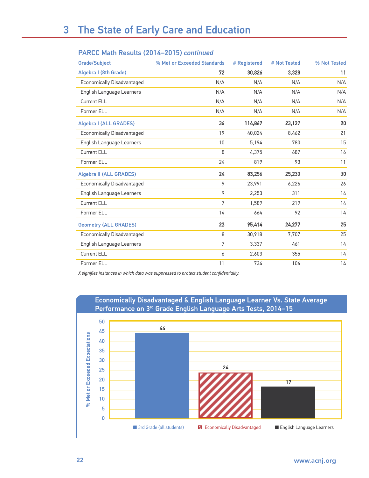| PARCC Math Results (2014-2015) continued |  |  |
|------------------------------------------|--|--|
|------------------------------------------|--|--|

| <b>Grade/Subject</b>              | % Met or Exceeded Standards | # Registered | # Not Tested | % Not Tested |
|-----------------------------------|-----------------------------|--------------|--------------|--------------|
| Algebra I (8th Grade)             | 72                          | 30,826       | 3,328        | 11           |
| <b>Economically Disadvantaged</b> | N/A                         | N/A          | N/A          | N/A          |
| English Language Learners         | N/A                         | N/A          | N/A          | N/A          |
| Current ELL                       | N/A                         | N/A          | N/A          | N/A          |
| Former ELL                        | N/A                         | N/A          | N/A          | N/A          |
| <b>Algebra I (ALL GRADES)</b>     | 36                          | 114,867      | 23,127       | 20           |
| <b>Economically Disadvantaged</b> | 19                          | 40,024       | 8,462        | 21           |
| English Language Learners         | 10                          | 5,194        | 780          | 15           |
| Current ELL                       | 8                           | 4,375        | 687          | 16           |
| Former ELL                        | 24                          | 819          | 93           | 11           |
| <b>Algebra II (ALL GRADES)</b>    | 24                          | 83,256       | 25,230       | 30           |
| <b>Economically Disadvantaged</b> | 9                           | 23,991       | 6,226        | 26           |
| English Language Learners         | 9                           | 2,253        | 311          | 14           |
| Current ELL                       | 7                           | 1,589        | 219          | 14           |
| Former ELL                        | 14                          | 664          | 92           | 14           |
| <b>Geometry (ALL GRADES)</b>      | 23                          | 95,414       | 24,277       | 25           |
| <b>Economically Disadvantaged</b> | 8                           | 30,918       | 7,707        | 25           |
| English Language Learners         | 7                           | 3,337        | 461          | 14           |
| Current ELL                       | 6                           | 2,603        | 355          | 14           |
| Former ELL                        | 11                          | 734          | 106          | 14           |

*X signifies instances in which data was suppressed to protect student confidentiality.*



#### Economically Disadvantaged & English Language Learner Vs. State Average Performance on 3rd Grade English Language Arts Tests, 2014–15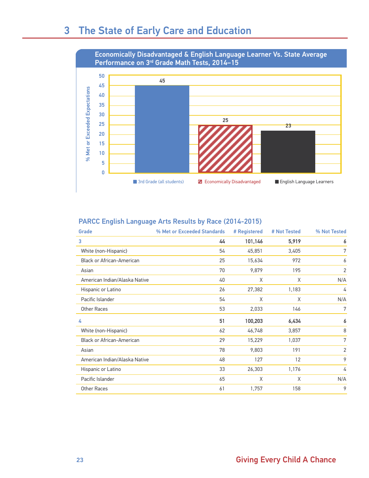### 3 The State of Early Care and Education



#### PARCC English Language Arts Results by Race (2014-2015)

| Grade                            | % Met or Exceeded Standards | # Registered | # Not Tested | % Not Tested   |
|----------------------------------|-----------------------------|--------------|--------------|----------------|
| 3                                | 44                          | 101,146      | 5,919        | 6              |
| White (non-Hispanic)             | 54                          | 45,851       | 3,405        | 7              |
| <b>Black or African-American</b> | 25                          | 15,634       | 972          | 6              |
| Asian                            | 70                          | 9,879        | 195          | 2              |
| American Indian/Alaska Native    | 40                          | X            | X            | N/A            |
| Hispanic or Latino               | 26                          | 27,382       | 1,183        | 4              |
| Pacific Islander                 | 54                          | X            | X            | N/A            |
| Other Races                      | 53                          | 2,033        | 146          | 7              |
| 4                                | 51                          | 100,203      | 6,434        | 6              |
| White (non-Hispanic)             | 62                          | 46,748       | 3,857        | 8              |
| <b>Black or African-American</b> | 29                          | 15,229       | 1,037        | 7              |
| Asian                            | 78                          | 9,803        | 191          | $\overline{2}$ |
| American Indian/Alaska Native    | 48                          | 127          | 12           | 9              |
| Hispanic or Latino               | 33                          | 26,303       | 1,176        | 4              |
| Pacific Islander                 | 65                          | X            | X            | N/A            |
| Other Races                      | 61                          | 1,757        | 158          | 9              |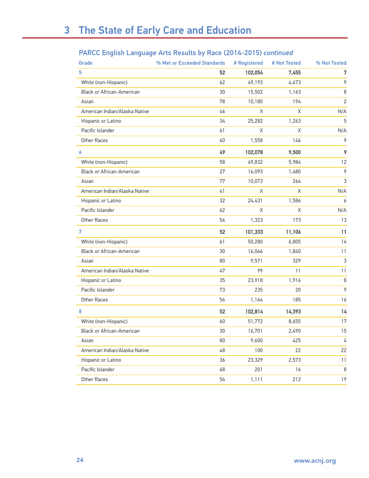#### PARCC English Language Arts Results by Race (2014-2015) *continued*

| Grade                            | % Met or Exceeded Standards | # Registered | # Not Tested | % Not Tested   |
|----------------------------------|-----------------------------|--------------|--------------|----------------|
| 5                                | 52                          | 102,054      | 7,455        | 7              |
| White (non-Hispanic)             | 62                          | 49,193       | 4,673        | 9              |
| <b>Black or African-American</b> | 30                          | 15,502       | 1,163        | 8              |
| Asian                            | 78                          | 10,180       | 194          | $\overline{2}$ |
| American Indian/Alaska Native    | 46                          | X            | X            | N/A            |
| Hispanic or Latino               | 34                          | 25,282       | 1,263        | 5              |
| Pacific Islander                 | 61                          | X            | Χ            | N/A            |
| Other Races                      | 60                          | 1,558        | 146          | 9              |
| 6                                | 49                          | 102,078      | 9,500        | 9              |
| White (non-Hispanic)             | 58                          | 49,832       | 5,984        | 12             |
| <b>Black or African-American</b> | 27                          | 16,093       | 1,480        | $\mathcal{P}$  |
| Asian                            | 77                          | 10,073       | 264          | 3              |
| American Indian/Alaska Native    | 41                          | X            | X            | N/A            |
| Hispanic or Latino               | 32                          | 24,431       | 1,586        | 6              |
| Pacific Islander                 | 62                          | X            | Χ            | N/A            |
| Other Races                      | 56                          | 1,323        | 173          | 13             |
| 7                                | 52                          | 101,333      | 11,106       | 11             |
| White (non-Hispanic)             | 61                          | 50,280       | 6,805        | 14             |
| <b>Black or African-American</b> | 30                          | 16,066       | 1,840        | 11             |
| Asian                            | 80                          | 9,571        | 329          | 3              |
| American Indian/Alaska Native    | 47                          | 99           | 11           | 11             |
| Hispanic or Latino               | 35                          | 23,918       | 1,916        | 8              |
| Pacific Islander                 | 73                          | 235          | 20           | 9              |
| Other Races                      | 56                          | 1,164        | 185          | 16             |
| 8                                | 52                          | 102,814      | 14,393       | 14             |
| White (non-Hispanic)             | 60                          | 51,772       | 8,655        | 17             |
| Black or African-American        | 30                          | 16,701       | 2,490        | 15             |
| Asian                            | 80                          | 9,600        | 425          | 4              |
| American Indian/Alaska Native    | 48                          | 100          | 22           | 22             |
| Hispanic or Latino               | 36                          | 23,329       | 2,573        | 11             |
| Pacific Islander                 | 68                          | 201          | 16           | 8              |
| Other Races                      | 54                          | 1,111        | 212          | 19             |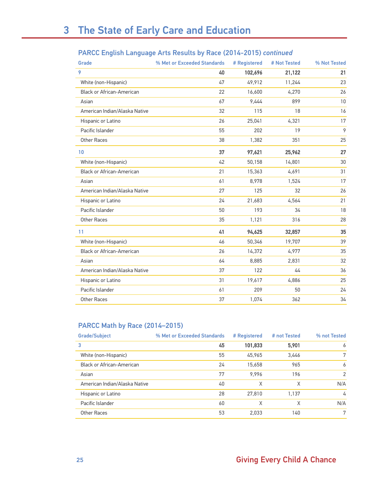|  | PARCC English Language Arts Results by Race (2014-2015) continued |  |  |
|--|-------------------------------------------------------------------|--|--|
|  |                                                                   |  |  |

| Grade                            | % Met or Exceeded Standards | # Registered | # Not Tested | % Not Tested |
|----------------------------------|-----------------------------|--------------|--------------|--------------|
| 9                                | 40                          | 102,696      | 21,122       | 21           |
| White (non-Hispanic)             | 47                          | 49,912       | 11,244       | 23           |
| <b>Black or African-American</b> | 22                          | 16,600       | 4,270        | 26           |
| Asian                            | 67                          | 9,444        | 899          | 10           |
| American Indian/Alaska Native    | 32                          | 115          | 18           | 16           |
| Hispanic or Latino               | 26                          | 25,041       | 4,321        | 17           |
| Pacific Islander                 | 55                          | 202          | 19           | 9            |
| Other Races                      | 38                          | 1,382        | 351          | 25           |
| 10                               | 37                          | 97,621       | 25,962       | 27           |
| White (non-Hispanic)             | 42                          | 50,158       | 14,801       | 30           |
| Black or African-American        | 21                          | 15,363       | 4,691        | 31           |
| Asian                            | 61                          | 8,978        | 1,524        | 17           |
| American Indian/Alaska Native    | 27                          | 125          | 32           | 26           |
| Hispanic or Latino               | 24                          | 21,683       | 4,564        | 21           |
| Pacific Islander                 | 50                          | 193          | 34           | 18           |
| Other Races                      | 35                          | 1,121        | 316          | 28           |
| 11                               | 41                          | 94,625       | 32,857       | 35           |
| White (non-Hispanic)             | 46                          | 50,346       | 19,707       | 39           |
| Black or African-American        | 26                          | 14,372       | 4,977        | 35           |
| Asian                            | 64                          | 8,885        | 2,831        | 32           |
| American Indian/Alaska Native    | 37                          | 122          | 44           | 36           |
| Hispanic or Latino               | 31                          | 19,617       | 4,886        | 25           |
| Pacific Islander                 | 61                          | 209          | 50           | 24           |
| Other Races                      | 37                          | 1,074        | 362          | 34           |

#### PARCC Math by Race (2014–2015)

| <b>Grade/Subject</b>          | % Met or Exceeded Standards | # Registered | # not Tested | % not Tested  |
|-------------------------------|-----------------------------|--------------|--------------|---------------|
| 3                             | 45                          | 101,833      | 5,901        | 6             |
| White (non-Hispanic)          | 55                          | 45.965       | 3,446        | 7             |
| Black or African-American     | 24                          | 15,658       | 965          | 6             |
| Asian                         | 77                          | 9.996        | 196          | $\mathcal{P}$ |
| American Indian/Alaska Native | 40                          | X            | χ            | N/A           |
| Hispanic or Latino            | 28                          | 27,810       | 1,137        | 4             |
| Pacific Islander              | 60                          | X            | X            | N/A           |
| Other Races                   | 53                          | 2,033        | 140          | 7             |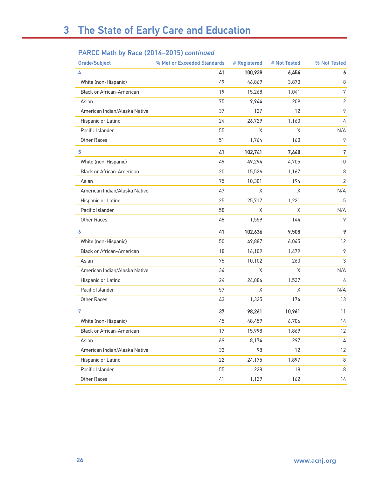#### PARCC Math by Race (2014–2015) *continued*

| <b>Grade/Subject</b>             | % Met or Exceeded Standards | # Registered | # Not Tested | % Not Tested   |
|----------------------------------|-----------------------------|--------------|--------------|----------------|
| 4                                | 41                          | 100,938      | 6,454        | 6              |
| White (non-Hispanic)             | 49                          | 46,869       | 3,870        | 8              |
| <b>Black or African-American</b> | 19                          | 15,268       | 1,041        | $\overline{7}$ |
| Asian                            | 75                          | 9,944        | 209          | $\sqrt{2}$     |
| American Indian/Alaska Native    | 37                          | 127          | 12           | 9              |
| Hispanic or Latino               | 24                          | 26,729       | 1,160        | 4              |
| Pacific Islander                 | 55                          | Χ            | Χ            | N/A            |
| Other Races                      | 51                          | 1,764        | 160          | 9              |
| 5                                | 41                          | 102,741      | 7,448        | 7              |
| White (non-Hispanic)             | 49                          | 49,294       | 4,705        | 10             |
| <b>Black or African-American</b> | 20                          | 15,526       | 1,167        | 8              |
| Asian                            | 75                          | 10,301       | 194          | $\sqrt{2}$     |
| American Indian/Alaska Native    | 47                          | Χ            | Χ            | N/A            |
| Hispanic or Latino               | 25                          | 25,717       | 1,221        | 5              |
| Pacific Islander                 | 58                          | Χ            | Χ            | N/A            |
| Other Races                      | 48                          | 1,559        | 144          | 9              |
| 6                                | 41                          | 102,636      | 9,508        | 9              |
| White (non-Hispanic)             | 50                          | 49,887       | 6,045        | 12             |
| <b>Black or African-American</b> | 18                          | 16,109       | 1,479        | 9              |
| Asian                            | 75                          | 10,102       | 260          | 3              |
| American Indian/Alaska Native    | 34                          | X            | X            | N/A            |
| Hispanic or Latino               | 24                          | 24,886       | 1,537        | 6              |
| Pacific Islander                 | 57                          | Χ            | $\mathsf X$  | N/A            |
| Other Races                      | 43                          | 1,325        | 174          | 13             |
| 7                                | 37                          | 98,261       | 10,961       | 11             |
| White (non-Hispanic)             | 45                          | 48,459       | 6,706        | 14             |
| Black or African-American        | 17                          | 15,998       | 1,869        | 12             |
| Asian                            | 69                          | 8,174        | 297          | 4              |
| American Indian/Alaska Native    | 33                          | 98           | 12           | 12             |
| Hispanic or Latino               | 22                          | 24,175       | 1,897        | 8              |
| Pacific Islander                 | 55                          | 228          | 18           | 8              |
| Other Races                      | 41                          | 1,129        | 162          | 14             |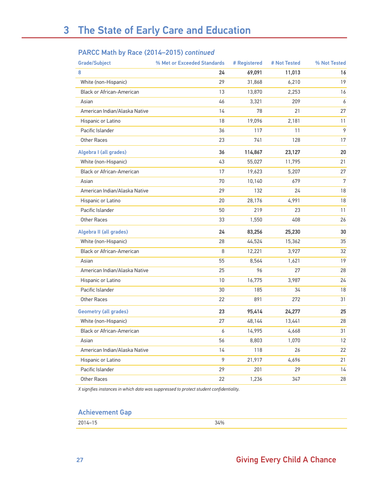#### PARCC Math by Race (2014–2015) *continued*

| <b>Grade/Subject</b>             | % Met or Exceeded Standards | # Registered | # Not Tested | % Not Tested |
|----------------------------------|-----------------------------|--------------|--------------|--------------|
| 8                                | 24                          | 69,091       | 11,013       | 16           |
| White (non-Hispanic)             | 29                          | 31,868       | 6,210        | 19           |
| Black or African-American        | 13                          | 13,870       | 2,253        | 16           |
| Asian                            | 46                          | 3,321        | 209          | 6            |
| American Indian/Alaska Native    | 14                          | 78           | 21           | 27           |
| Hispanic or Latino               | 18                          | 19,096       | 2,181        | 11           |
| Pacific Islander                 | 36                          | 117          | 11           | 9            |
| Other Races                      | 23                          | 741          | 128          | 17           |
| Algebra I (all grades)           | 36                          | 114,867      | 23,127       | 20           |
| White (non-Hispanic)             | 43                          | 55,027       | 11,795       | 21           |
| <b>Black or African-American</b> | 17                          | 19,623       | 5,207        | 27           |
| Asian                            | 70                          | 10,140       | 679          | 7            |
| American Indian/Alaska Native    | 29                          | 132          | 24           | 18           |
| Hispanic or Latino               | 20                          | 28,176       | 4,991        | 18           |
| Pacific Islander                 | 50                          | 219          | 23           | 11           |
| <b>Other Races</b>               | 33                          | 1,550        | 408          | 26           |
| Algebra II (all grades)          | 24                          | 83,256       | 25,230       | 30           |
| White (non-Hispanic)             | 28                          | 44,524       | 15,362       | 35           |
| <b>Black or African-American</b> | 8                           | 12,221       | 3,927        | 32           |
| Asian                            | 55                          | 8,564        | 1,621        | 19           |
| American Indian/Alaska Native    | 25                          | 96           | 27           | 28           |
| Hispanic or Latino               | 10                          | 16,775       | 3,987        | 24           |
| Pacific Islander                 | 30                          | 185          | 34           | 18           |
| Other Races                      | 22                          | 891          | 272          | 31           |
| <b>Geometry (all grades)</b>     | 23                          | 95,414       | 24,277       | 25           |
| White (non-Hispanic)             | 27                          | 48,144       | 13,441       | 28           |
| Black or African-American        | 6                           | 14,995       | 4,668        | 31           |
| Asian                            | 56                          | 8,803        | 1,070        | 12           |
| American Indian/Alaska Native    | 14                          | 118          | 26           | 22           |
| Hispanic or Latino               | 9                           | 21,917       | 4,696        | 21           |
| Pacific Islander                 | 29                          | 201          | 29           | 14           |
| Other Races                      | 22                          | 1,236        | 347          | 28           |

*X signifies instances in which data was suppressed to protect student confidentiality.*

#### Achievement Gap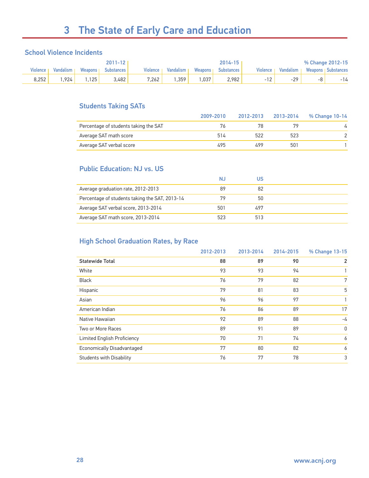# 3 The State of Early Care and Education

#### School Violence Incidents

|                 |           |           | 2011-12      |          |           |           | $2014 - 15$       |          |             |    | % Change 2012-15            |
|-----------------|-----------|-----------|--------------|----------|-----------|-----------|-------------------|----------|-------------|----|-----------------------------|
| <b>Violence</b> | Vandalism | Weapons I | Substances ' | Violence | Vandalism | Weapons I | <b>Substances</b> | Violence | Vandalism I |    | <b>Weapons I Substances</b> |
| 8.252           | .924      | 125       | 3.482        | 7.262    | .359      | .037      | 2.982             | $-12$    | $-29$       | -8 | -14                         |

#### Students Taking SATs

|                                       | 2009-2010 | 2012-2013 | 2013-2014 | % Change 10-14 |
|---------------------------------------|-----------|-----------|-----------|----------------|
| Percentage of students taking the SAT | 76        |           |           |                |
| Average SAT math score                | 514       | 522       | 523       |                |
| Average SAT verbal score              | 495       | 499       | 501       |                |

#### Public Education: NJ vs. US

|                                                | NJ  | บร  |  |
|------------------------------------------------|-----|-----|--|
| Average graduation rate, 2012-2013             | 89  | 82  |  |
| Percentage of students taking the SAT, 2013-14 | 79  | 50  |  |
| Average SAT verbal score, 2013-2014            | 501 | 497 |  |
| Average SAT math score, 2013-2014              | 523 | 513 |  |

#### High School Graduation Rates, by Race

|                                    | 2012-2013 | 2013-2014 | 2014-2015 | % Change 13-15 |
|------------------------------------|-----------|-----------|-----------|----------------|
| <b>Statewide Total</b>             | 88        | 89        | 90        | $\overline{2}$ |
| White                              | 93        | 93        | 94        |                |
| <b>Black</b>                       | 76        | 79        | 82        | 7              |
| Hispanic                           | 79        | 81        | 83        | 5              |
| Asian                              | 96        | 96        | 97        |                |
| American Indian                    | 76        | 86        | 89        | 17             |
| Native Hawaiian                    | 92        | 89        | 88        | -4             |
| Two or More Races                  | 89        | 91        | 89        | $\mathbf{0}$   |
| <b>Limited English Proficiency</b> | 70        | 71        | 74        | 6              |
| <b>Economically Disadvantaged</b>  | 77        | 80        | 82        | 6              |
| <b>Students with Disability</b>    | 76        | 77        | 78        | 3              |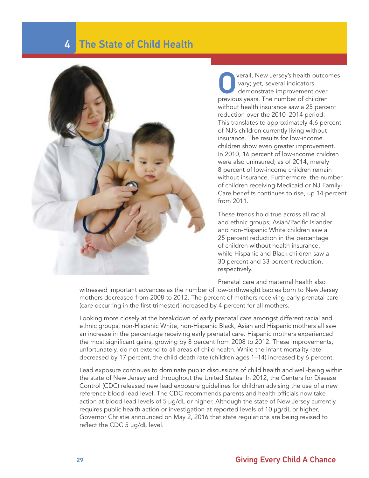### 4 The State of Child Health



verall, New Jersey's health outcomes vary; yet, several indicators demonstrate improvement over previous years. The number of children without health insurance saw a 25 percent reduction over the 2010–2014 period. This translates to approximately 4.6 percent of NJ's children currently living without insurance. The results for low-income children show even greater improvement. In 2010, 16 percent of low-income children were also uninsured; as of 2014, merely 8 percent of low-income children remain without insurance. Furthermore, the number of children receiving Medicaid or NJ Family-Care benefits continues to rise, up 14 percent from 2011.

These trends hold true across all racial and ethnic groups; Asian/Pacific Islander and non-Hispanic White children saw a 25 percent reduction in the percentage of children without health insurance, while Hispanic and Black children saw a 30 percent and 33 percent reduction, respectively.

Prenatal care and maternal health also

witnessed important advances as the number of low-birthweight babies born to New Jersey mothers decreased from 2008 to 2012. The percent of mothers receiving early prenatal care (care occurring in the first trimester) increased by 4 percent for all mothers.

Looking more closely at the breakdown of early prenatal care amongst different racial and ethnic groups, non-Hispanic White, non-Hispanic Black, Asian and Hispanic mothers all saw an increase in the percentage receiving early prenatal care. Hispanic mothers experienced the most significant gains, growing by 8 percent from 2008 to 2012. These improvements, unfortunately, do not extend to all areas of child health. While the infant mortality rate decreased by 17 percent, the child death rate (children ages 1–14) increased by 6 percent.

Lead exposure continues to dominate public discussions of child health and well-being within the state of New Jersey and throughout the United States. In 2012, the Centers for Disease Control (CDC) released new lead exposure guidelines for children advising the use of a new reference blood lead level. The CDC recommends parents and health officials now take action at blood lead levels of 5 µg/dL or higher. Although the state of New Jersey currently requires public health action or investigation at reported levels of 10 µg/dL or higher, Governor Christie announced on May 2, 2016 that state regulations are being revised to reflect the CDC 5 µg/dL level.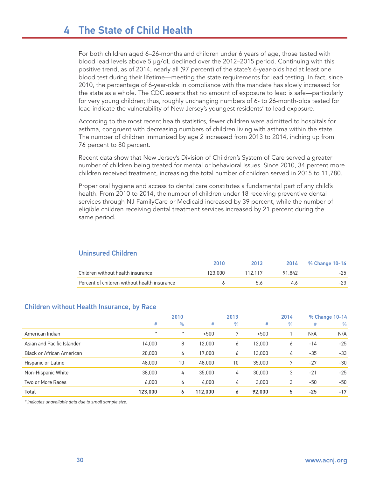### 4 The State of Child Health

For both children aged 6–26-months and children under 6 years of age, those tested with blood lead levels above 5 µg/dL declined over the 2012–2015 period. Continuing with this positive trend, as of 2014, nearly all (97 percent) of the state's 6-year-olds had at least one blood test during their lifetime—meeting the state requirements for lead testing. In fact, since 2010, the percentage of 6-year-olds in compliance with the mandate has slowly increased for the state as a whole. The CDC asserts that no amount of exposure to lead is safe—particularly for very young children; thus, roughly unchanging numbers of 6- to 26-month-olds tested for lead indicate the vulnerability of New Jersey's youngest residents' to lead exposure.

According to the most recent health statistics, fewer children were admitted to hospitals for asthma, congruent with decreasing numbers of children living with asthma within the state. The number of children immunized by age 2 increased from 2013 to 2014, inching up from 76 percent to 80 percent.

Recent data show that New Jersey's Division of Children's System of Care served a greater number of children being treated for mental or behavioral issues. Since 2010, 34 percent more children received treatment, increasing the total number of children served in 2015 to 11,780.

Proper oral hygiene and access to dental care constitutes a fundamental part of any child's health. From 2010 to 2014, the number of children under 18 receiving preventive dental services through NJ FamilyCare or Medicaid increased by 39 percent, while the number of eligible children receiving dental treatment services increased by 21 percent during the same period.

|                                              | 2010    | 2013    |        | 2014 % Change 10-14 |
|----------------------------------------------|---------|---------|--------|---------------------|
| Children without health insurance            | 123.000 | 112.117 | 91.842 | $-25$               |
| Percent of children without health insurance |         |         | 46     | $-23$               |

#### Uninsured Children

#### Children without Health Insurance, by Race

|                            |          | 2010          |         | 2013 |        | 2014 |       | % Change 10-14 |
|----------------------------|----------|---------------|---------|------|--------|------|-------|----------------|
|                            | #        | $\frac{0}{0}$ | #       | $\%$ | #      | $\%$ | #     | $\frac{0}{0}$  |
| American Indian            | $^\star$ | $\star$       | < 500   | 7    | < 500  |      | N/A   | N/A            |
| Asian and Pacific Islander | 14,000   | 8             | 12,000  | 6    | 12,000 | 6    | $-14$ | $-25$          |
| Black or African American  | 20,000   | 6             | 17,000  | 6    | 13,000 | 4    | $-35$ | $-33$          |
| Hispanic or Latino         | 48,000   | 10            | 48,000  | 10   | 35,000 |      | $-27$ | $-30$          |
| Non-Hispanic White         | 38,000   | 4             | 35,000  | 4    | 30,000 | 3    | $-21$ | $-25$          |
| Two or More Races          | 6.000    | 6             | 4.000   | 4    | 3.000  | 3    | $-50$ | $-50$          |
| Total                      | 123,000  | 6             | 112,000 | 6    | 92,000 | 5    | $-25$ | $-17$          |

*\* indicates unavailable data due to small sample size.*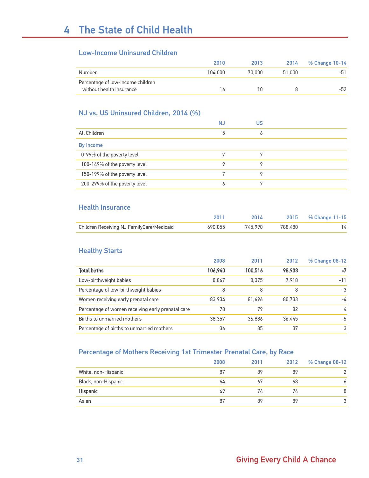#### Low-Income Uninsured Children

|                                   | 2010    | 2013   | 2014   | % Change 10-14 |
|-----------------------------------|---------|--------|--------|----------------|
| Number                            | 104.000 | 70.000 | 51.000 | $-51$          |
| Percentage of low-income children |         |        |        |                |
| without health insurance          | l 6     |        |        | $-52$          |

#### NJ vs. US Uninsured Children, 2014 (%)

|                               | <b>NJ</b> | US |  |
|-------------------------------|-----------|----|--|
| All Children                  | 5         |    |  |
| <b>By Income</b>              |           |    |  |
| 0-99% of the poverty level    |           |    |  |
| 100-149% of the poverty level | Q         |    |  |
| 150-199% of the poverty level | 7         |    |  |
| 200-299% of the poverty level | 6         |    |  |

#### Health Insurance

|                                           |         | 2014    |         | 2015 % Change 11-15 |
|-------------------------------------------|---------|---------|---------|---------------------|
| Children Receiving NJ FamilyCare/Medicaid | 690.055 | 745.990 | 788.480 |                     |

#### Healthy Starts

|                                                   | 2008    | 2011    | 2012   | % Change 08-12 |
|---------------------------------------------------|---------|---------|--------|----------------|
| <b>Total births</b>                               | 106,940 | 100.516 | 98.933 | $-7$           |
| Low-birthweight babies                            | 8,867   | 8.375   | 7.918  | $-11$          |
| Percentage of low-birthweight babies              | 8       | 8       | 8      | $-3$           |
| Women receiving early prenatal care               | 83.934  | 81.696  | 80.733 | $-\sqrt{4}$    |
| Percentage of women receiving early prenatal care | 78      | 79      | 82     | 4              |
| Births to unmarried mothers                       | 38.357  | 36,886  | 36.445 | $-5$           |
| Percentage of births to unmarried mothers         | 36      | 35      | 37     | 3              |

#### Percentage of Mothers Receiving 1st Trimester Prenatal Care, by Race

|                     | 2008 | 2011 | 2012 | % Change 08-12 |
|---------------------|------|------|------|----------------|
| White, non-Hispanic | 87   | 89   | 89   | $\Omega$       |
| Black, non-Hispanic | 64   | 67   | 68   |                |
| Hispanic            | 69   | 74   | 74   | 8              |
| Asian               | 87   | 89   | 89   | $\mathbf{P}$   |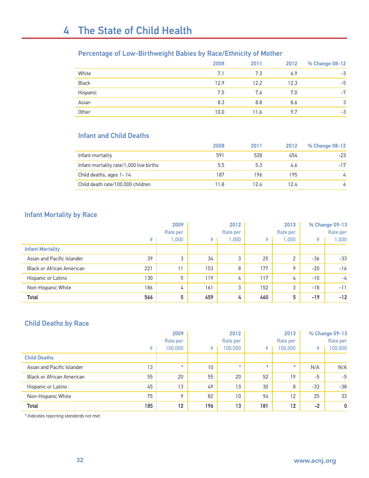#### Percentage of Low-Birthweight Babies by Race/Ethnicity of Mother

|              | 2008 | 2011 | 2012 | % Change 08-12 |
|--------------|------|------|------|----------------|
| White        | 7.1  | 7.3  | 6.9  | $-3$           |
| <b>Black</b> | 12.9 | 12.2 | 12.3 | $-5$           |
| Hispanic     | 7.5  | 7.6  | 7.0  | $-7$           |
| Asian        | 8.3  | 8.8  | 8.6  | 3              |
| Other        | 10.0 | 11.6 | 9.7  | $-3$           |

#### Infant and Child Deaths

|                                         | 2008 | 2011 | 2012 | % Change 08-12 |
|-----------------------------------------|------|------|------|----------------|
| Infant mortality                        | 591  | 528  | 454  | $-23$          |
| Infant mortality rate/1,000 live births | 5.5  | 5.3  | 4.6  | $-17$          |
| Child deaths, ages 1-14                 | 187  | 196  | 195  | 4              |
| Child death rate/100,000 children       | 11.8 | 12.4 | 12.4 |                |

#### Infant Mortality by Race

|                                  | 2009 |          |     | 2012     |     | 2013     |       | % Change 09-13 |  |
|----------------------------------|------|----------|-----|----------|-----|----------|-------|----------------|--|
|                                  |      | Rate per |     | Rate per |     | Rate per |       | Rate per       |  |
|                                  | #    | 000,     | #   | 1,000    | #   | 000,     | #     | 1,000          |  |
| <b>Infant Mortality</b>          |      |          |     |          |     |          |       |                |  |
| Asian and Pacific Islander       | 39   | 3        | 34  | 3        | 25  | 2        | $-36$ | $-33$          |  |
| <b>Black or African American</b> | 221  | 11       | 153 | 8        | 177 | 9        | $-20$ | $-16$          |  |
| Hispanic or Latino               | 130  | 5        | 119 | 4        | 117 | 4        | $-10$ | $-\sqrt{4}$    |  |
| Non-Hispanic White               | 186  | 4        | 161 | 3        | 152 | 3        | $-18$ | $-11$          |  |
| <b>Total</b>                     | 566  | 5        | 459 | 4        | 460 | 5        | $-19$ | $-12$          |  |

#### Child Deaths by Race

|                                  | 2009 |          |     | 2012     |         | 2013     | % Change 09-13 |              |
|----------------------------------|------|----------|-----|----------|---------|----------|----------------|--------------|
|                                  |      | Rate per |     | Rate per |         | Rate per |                | Rate per     |
|                                  | #    | 100,000  | #   | 100,000  | #       | 100,000  | #              | 100,000      |
| <b>Child Deaths</b>              |      |          |     |          |         |          |                |              |
| Asian and Pacific Islander       | 13   | $\star$  | 10  | $\ast$   | $\star$ | $\star$  | N/A            | N/A          |
| <b>Black or African American</b> | 55   | 20       | 55  | 20       | 52      | 19       | $-5$           | $-5$         |
| Hispanic or Latino               | 45   | 13       | 49  | 13       | 30      | 8        | $-33$          | $-38$        |
| Non-Hispanic White               | 75   | 9        | 82  | 10       | 94      | 12       | 25             | 33           |
| <b>Total</b>                     | 185  | 12       | 196 | 13       | 181     | 12       | $-2$           | $\mathbf{0}$ |

*\* Indicates reporting standards not met.*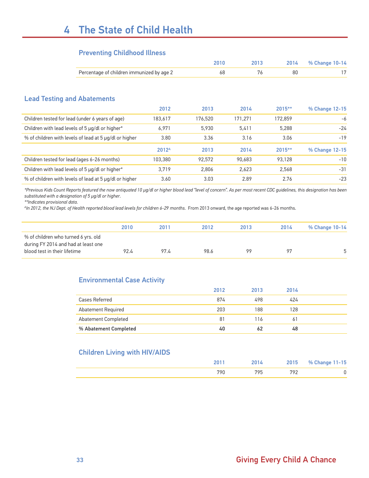# 4 The State of Child Health

#### Preventing Childhood Illness

|                                                        |                   | 2010    | 2013    | 2014    | % Change 10-14 |
|--------------------------------------------------------|-------------------|---------|---------|---------|----------------|
| Percentage of children immunized by age 2              |                   | 68      | 76      | 80      | 17             |
|                                                        |                   |         |         |         |                |
| <b>Lead Testing and Abatements</b>                     |                   |         |         |         |                |
|                                                        | 2012              | 2013    | 2014    | 2015**  | % Change 12-15 |
| Children tested for lead (under 6 years of age)        | 183,617           | 176,520 | 171,271 | 172,859 | -6             |
| Children with lead levels of 5 µg/dl or higher*        | 6.971             | 5,930   | 5,411   | 5,288   | $-24$          |
| % of children with levels of lead at 5 µg/dl or higher | 3.80              | 3.36    | 3.16    | 3.06    | $-19$          |
|                                                        | 2012 <sup>A</sup> | 2013    | 2014    | 2015**  | % Change 12-15 |
| Children tested for lead (ages 6-26 months)            | 103,380           | 92,572  | 90,683  | 93,128  | $-10$          |
| Children with lead levels of 5 µg/dl or higher*        | 3,719             | 2,806   | 2,623   | 2,568   | $-31$          |
| % of children with levels of lead at 5 µg/dl or higher | 3.60              | 3.03    | 2.89    | 2.76    | $-23$          |

*\*Previous Kids Count Reports featured the now antiquated 10 µg/dl or higher blood lead "level of concern". As per most recent CDC guidelines, this designation has been substituted with a designation of 5 µg/dl or higher.*

*\*\*Indicates provisional data.*

*AIn 2012, the NJ Dept. of Health reported blood lead levels for children 6-29 months*. From 2013 onward, the age reported was 6-26 months.

|                                                                                                            | 2010 | 2011 | 2012 | 2013 | 2014 | % Change 10-14 |
|------------------------------------------------------------------------------------------------------------|------|------|------|------|------|----------------|
| % of children who turned 6 yrs. old<br>during FY 2014 and had at least one<br>blood test in their lifetime | 92.4 | 97 L | 98.6 | 99   | 97   | ᡵ              |

#### Environmental Case Activity

|                       | 2012 | 2013 | 2014 |  |
|-----------------------|------|------|------|--|
| Cases Referred        | 874  | 498  | 424  |  |
| Abatement Required    | 203  | 188  | 128  |  |
| Abatement Completed   | 81   | 116  | 6    |  |
| % Abatement Completed | 40   |      | 48   |  |

#### Children Living with HIV/AIDS

| ንበ1 | 2014 | 2015 | % Change 11-15 |
|-----|------|------|----------------|
| 700 | 705  | 702  |                |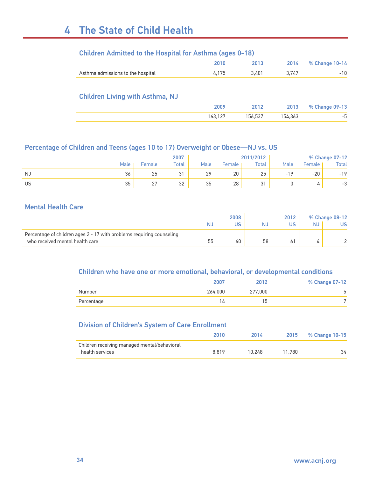# 4 The State of Child Health

| <b>Children Admitted to the Hospital for Asthma (ages 0-18)</b> |  |  |
|-----------------------------------------------------------------|--|--|
|-----------------------------------------------------------------|--|--|

|                                        | 2010    | 2013    | 2014    | % Change 10-14 |
|----------------------------------------|---------|---------|---------|----------------|
| Asthma admissions to the hospital      | 4,175   | 3,401   | 3,747   | $-10$          |
| <b>Children Living with Asthma, NJ</b> |         |         |         |                |
|                                        | 2009    | 2012    | 2013    | % Change 09-13 |
|                                        |         |         |         |                |
|                                        | 163,127 | 156.537 | 154,363 | -5             |

#### Percentage of Children and Teens (ages 10 to 17) Overweight or Obese—NJ vs. US

|    |      |           | 2007      |           |        | 2011/2012     |             |        | % Change 07-12 |
|----|------|-----------|-----------|-----------|--------|---------------|-------------|--------|----------------|
|    | Male | Female    | Total     | Male      | Female | Total         | <b>Male</b> | Female | Total          |
| NJ | 36   | 25        | c,<br>، ب | 20<br>، ے | 20     | 25            | 1 ດ<br>$-1$ | $-20$  | $-19$          |
| US | 35   | 27<br>، ے | 32        | 25<br>ັບ  | 28     | $\sim$<br>ັບ. |             |        | $\sim$<br>-ა   |

#### Mental Health Care

|                                                                       | 2008 |    | 2012 |    | % Change 08-12 |    |
|-----------------------------------------------------------------------|------|----|------|----|----------------|----|
|                                                                       |      | US | NJ   | US | NJ             | US |
| Percentage of children ages 2 - 17 with problems requiring counseling |      |    |      |    |                |    |
| who received mental health care                                       | 55   | 60 | 58   | 61 |                |    |

#### Children who have one or more emotional, behavioral, or developmental conditions

|            | 2007    | 2012    | % Change 07-12 |
|------------|---------|---------|----------------|
| Number     | 264,000 | 277,000 |                |
| Percentage |         | ٠b      |                |

#### Division of Children's System of Care Enrollment

|                                              | 2010  | 2014   | 2015   | % Change 10-15 |
|----------------------------------------------|-------|--------|--------|----------------|
| Children receiving managed mental/behavioral |       |        |        |                |
| health services                              | 8.819 | 10.248 | 11.780 | 34             |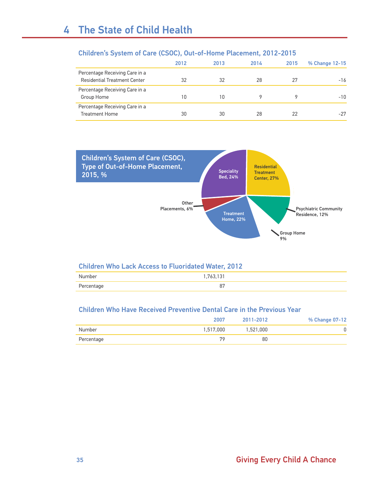|                                                                       | 2012 | 2013 | 2014 | 2015 | % Change 12-15 |
|-----------------------------------------------------------------------|------|------|------|------|----------------|
| Percentage Receiving Care in a<br><b>Residential Treatment Center</b> | 32   | 32   | 28   | 27   | $-16$          |
| Percentage Receiving Care in a<br>Group Home                          | 10   | 10   |      |      | $-10$          |
| Percentage Receiving Care in a<br><b>Treatment Home</b>               | 30   | 30   | 28   | 22   | $-27$          |

#### Children's System of Care (CSOC), Out-of-Home Placement, 2012-2015



#### Children Who Lack Access to Fluoridated Water, 2012

| Numbor<br>טי. |              |
|---------------|--------------|
| ----          | oπ           |
| Percentage    | $\mathbf{o}$ |

#### Children Who Have Received Preventive Dental Care in the Previous Year

|            | 2007      | 2011-2012 | % Change 07-12 |
|------------|-----------|-----------|----------------|
| Number     | 1,517,000 | 1,521,000 |                |
| Percentage | 79        | 80        |                |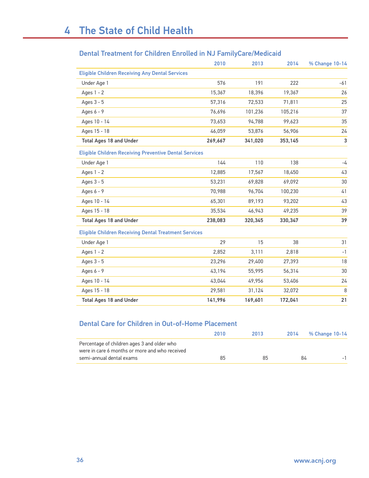### Dental Treatment for Children Enrolled in NJ FamilyCare/Medicaid

|                                                               | 2010    | 2013    | 2014    | % Change 10-14 |
|---------------------------------------------------------------|---------|---------|---------|----------------|
| <b>Eligible Children Receiving Any Dental Services</b>        |         |         |         |                |
| Under Age 1                                                   | 576     | 191     | 222     | -61            |
| Ages $1 - 2$                                                  | 15,367  | 18,396  | 19,367  | 26             |
| Ages 3 - 5                                                    | 57,316  | 72,533  | 71,811  | 25             |
| Ages $6 - 9$                                                  | 76,696  | 101,236 | 105,216 | 37             |
| Ages 10 - 14                                                  | 73,653  | 94,788  | 99,623  | 35             |
| Ages 15 - 18                                                  | 46,059  | 53,876  | 56,906  | 24             |
| <b>Total Ages 18 and Under</b>                                | 269,667 | 341,020 | 353,145 | $\sqrt{3}$     |
| <b>Eligible Children Receiving Preventive Dental Services</b> |         |         |         |                |
| Under Age 1                                                   | 144     | 110     | 138     | -4             |
| Ages $1 - 2$                                                  | 12,885  | 17,567  | 18,450  | 43             |
| Ages 3 - 5                                                    | 53,231  | 69,828  | 69,092  | 30             |
| Ages $6 - 9$                                                  | 70,988  | 96,704  | 100,230 | 41             |
| Ages 10 - 14                                                  | 65,301  | 89,193  | 93,202  | 43             |
| Ages 15 - 18                                                  | 35,534  | 46,943  | 49,235  | 39             |
| <b>Total Ages 18 and Under</b>                                | 238,083 | 320,345 | 330,347 | 39             |
| <b>Eligible Children Receiving Dental Treatment Services</b>  |         |         |         |                |
| Under Age 1                                                   | 29      | 15      | 38      | 31             |
| Ages $1 - 2$                                                  | 2,852   | 3,111   | 2,818   | $-1$           |
| Ages 3 - 5                                                    | 23,296  | 29,400  | 27,393  | 18             |
| Ages 6 - 9                                                    | 43,194  | 55,995  | 56,314  | 30             |
| Ages 10 - 14                                                  | 43,044  | 49,956  | 53,406  | 24             |
| Ages 15 - 18                                                  | 29,581  | 31,124  | 32,072  | 8              |
| <b>Total Ages 18 and Under</b>                                | 141,996 | 169,601 | 172,041 | 21             |

#### Dental Care for Children in Out-of-Home Placement

|                                                                                               | 2010 | 2013 |    | 2014 % Change 10-14 |
|-----------------------------------------------------------------------------------------------|------|------|----|---------------------|
| Percentage of children ages 3 and older who<br>were in care 6 months or more and who received |      |      |    |                     |
| semi-annual dental exams                                                                      | 85   | 85   | 84 |                     |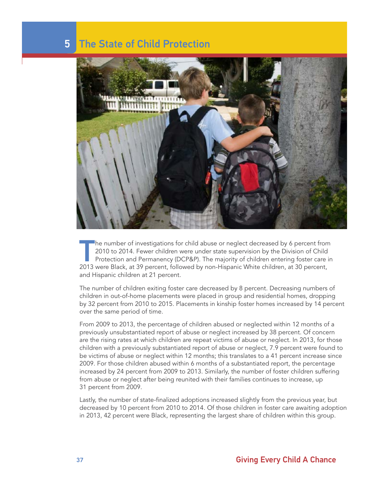### 5 The State of Child Protection



The number of investigations for child abuse or neglect decreased by 6 percent from<br>2010 to 2014. Fewer children were under state supervision by the Division of Child<br>Protection and Permanency (DCP&P). The majority of chil 2010 to 2014. Fewer children were under state supervision by the Division of Child Protection and Permanency (DCP&P). The majority of children entering foster care in 2013 were Black, at 39 percent, followed by non-Hispanic White children, at 30 percent, and Hispanic children at 21 percent.

The number of children exiting foster care decreased by 8 percent. Decreasing numbers of children in out-of-home placements were placed in group and residential homes, dropping by 32 percent from 2010 to 2015. Placements in kinship foster homes increased by 14 percent over the same period of time.

From 2009 to 2013, the percentage of children abused or neglected within 12 months of a previously unsubstantiated report of abuse or neglect increased by 38 percent. Of concern are the rising rates at which children are repeat victims of abuse or neglect. In 2013, for those children with a previously substantiated report of abuse or neglect, 7.9 percent were found to be victims of abuse or neglect within 12 months; this translates to a 41 percent increase since 2009. For those children abused within 6 months of a substantiated report, the percentage increased by 24 percent from 2009 to 2013. Similarly, the number of foster children suffering from abuse or neglect after being reunited with their families continues to increase, up 31 percent from 2009.

Lastly, the number of state-finalized adoptions increased slightly from the previous year, but decreased by 10 percent from 2010 to 2014. Of those children in foster care awaiting adoption in 2013, 42 percent were Black, representing the largest share of children within this group.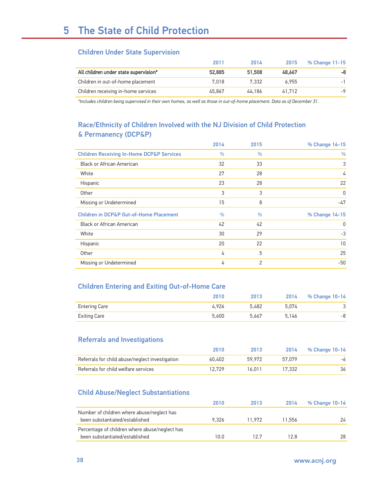#### Children Under State Supervision

|                                       | 2011   | 2014   | 2015   | % Change 11-15 |
|---------------------------------------|--------|--------|--------|----------------|
| All children under state supervision* | 52.885 | 51.508 | 48.667 | -8             |
| Children in out-of-home placement     | 7.018  | 7.332  | 6.955  | $-1$           |
| Children receiving in-home services   | 45.867 | 44.186 | 41.712 | $-9$           |

*\*Includes children being supervised in their own homes, as well as those in out-of-home placement. Data as of December 31.*

#### Race/Ethnicity of Children Involved with the NJ Division of Child Protection & Permanency (DCP&P)

|                                                      | 2014          | 2015          | % Change 14-15 |
|------------------------------------------------------|---------------|---------------|----------------|
| <b>Children Receiving In-Home DCP&amp;P Services</b> | $\frac{0}{0}$ | $\frac{0}{0}$ | $\frac{0}{0}$  |
| <b>Black or African American</b>                     | 32            | 33            | 3              |
| White                                                | 27            | 28            | 4              |
| Hispanic                                             | 23            | 28            | 22             |
| Other                                                | 3             | 3             | 0              |
| Missing or Undetermined                              | 15            | 8             | -47            |
| <b>Children in DCP&amp;P Out-of-Home Placement</b>   | $\frac{0}{0}$ | $\frac{0}{0}$ | % Change 14-15 |
| <b>Black or African American</b>                     | 42            | 42            | 0              |
| White                                                | 30            | 29            | $-3$           |
| Hispanic                                             | 20            | 22            | 10             |
| Other                                                | 4             | 5             | 25             |
| Missing or Undetermined                              | 4             | 2             | $-50$          |

#### Children Entering and Exiting Out-of-Home Care

|                      | 2010  | 2013  | 2014  | % Change 10-14 |
|----------------------|-------|-------|-------|----------------|
| <b>Entering Care</b> | 4.926 | 5.482 | 5.074 |                |
| Exiting Care         | 5.600 | 5.667 | 5.146 | -8             |

#### Referrals and Investigations

|                                                 | 2010   | 2013   | 2014   | % Change 10-14 |
|-------------------------------------------------|--------|--------|--------|----------------|
| Referrals for child abuse/neglect investigation | 60.402 | 59.972 | 57.079 | -6             |
| Referrals for child welfare services            | 12.729 | 16.011 | 17.332 |                |

#### Child Abuse/Neglect Substantiations

|                                                                                  | 2010  | 2013   | 2014   | % Change 10-14 |
|----------------------------------------------------------------------------------|-------|--------|--------|----------------|
| Number of children where abuse/neglect has<br>been substantiated/established     | 9.326 | 11.972 | 11.556 | 24             |
| Percentage of children where abuse/neglect has<br>been substantiated/established | 10.0  | 127    | 12.8   | 28             |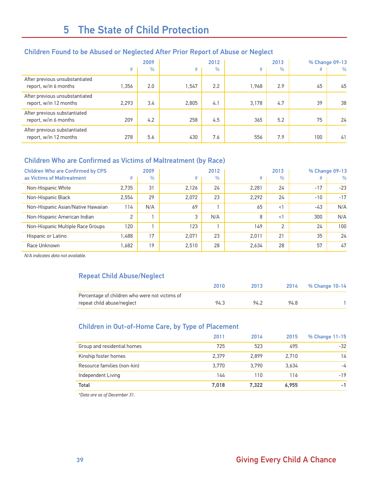#### Children Found to be Abused or Neglected After Prior Report of Abuse or Neglect

|                                                          |       | 2009          | 2012  |               | 2013  |               | % Change 09-13 |      |
|----------------------------------------------------------|-------|---------------|-------|---------------|-------|---------------|----------------|------|
|                                                          | #     | $\frac{0}{0}$ | #     | $\frac{0}{0}$ | #     | $\frac{0}{0}$ | #              | $\%$ |
| After previous unsubstantiated<br>report, w/in 6 months  | 1.356 | 2.0           | 1.547 | 2.2           | 1.968 | 2.9           | 45             | 45   |
| After previous unsubstantiated<br>report, w/in 12 months | 2,293 | 3.4           | 2,805 | 4.1           | 3.178 | 4.7           | 39             | 38   |
| After previous substantiated<br>report, w/in 6 months    | 209   | 4.2           | 258   | 4.5           | 365   | 5.2           | 75             | 24   |
| After previous substantiated<br>report, w/in 12 months   | 278   | 5.6           | 430   | 7.6           | 556   | 7.9           | 100            | 41   |

#### Children Who are Confirmed as Victims of Maltreatment (by Race)

| <b>Children Who are Confirmed by CPS</b> |               | 2009          |       | 2012          |       | 2013    |       | % Change 09-13 |
|------------------------------------------|---------------|---------------|-------|---------------|-------|---------|-------|----------------|
| as Victims of Maltreatment               | #             | $\frac{0}{0}$ | #     | $\frac{0}{0}$ | #     | $\%$    | #     | $\%$           |
| Non-Hispanic White                       | 2.735         | 31            | 2.126 | 24            | 2.281 | 24      | $-17$ | $-23$          |
| Non-Hispanic Black                       | 2.554         | 29            | 2.072 | 23            | 2.292 | 24      | $-10$ | $-17$          |
| Non-Hispanic Asian/Native Hawaiian       | 114           | N/A           | 69    |               | 65    | $\lt$ 1 | $-43$ | N/A            |
| Non-Hispanic American Indian             | $\mathcal{L}$ |               | 3     | N/A           | 8     | <1      | 300   | N/A            |
| Non-Hispanic Multiple Race Groups        | 120           |               | 123   |               | 149   | 2       | 24    | 100            |
| Hispanic or Latino                       | 1.488         | 17            | 2.071 | 23            | 2.011 | 21      | 35    | 24             |
| Race Unknown                             | 1.682         | 19            | 2.510 | 28            | 2.634 | 28      | 57    | 47             |

*N/A indicates data not available.*

#### Repeat Child Abuse/Neglect

|                                                | 2010 | 2013 |      | 2014 % Change 10-14 |
|------------------------------------------------|------|------|------|---------------------|
| Percentage of children who were not victims of |      |      |      |                     |
| repeat child abuse/neglect                     | 94.3 | 94.2 | 94 R |                     |

#### Children in Out-of-Home Care, by Type of Placement

|                             | 2011  | 2014  | 2015  | % Change 11-15 |
|-----------------------------|-------|-------|-------|----------------|
| Group and residential homes | 725   | 523   | 495   | $-32$          |
| Kinship foster homes        | 2.379 | 2.899 | 2.710 | 14             |
| Resource families (non-kin) | 3.770 | 3.790 | 3.634 | -4             |
| Independent Living          | 144   | 110   | 116   | $-19$          |
| Total                       | 7,018 | 7.322 | 6.955 | -1             |

*\*Data are as of December 31.*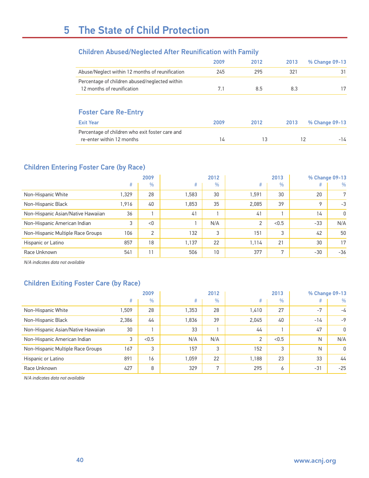#### Children Abused/Neglected After Reunification with Family

|                                                                              | 2009 | 2012 | 2013 | % Change 09-13 |
|------------------------------------------------------------------------------|------|------|------|----------------|
| Abuse/Neglect within 12 months of reunification                              | 245  | 295  | 321  | 31             |
| Percentage of children abused/neglected within<br>12 months of reunification | 7.1  | 8.5  | 8.3  | 17             |
| <b>Foster Care Re-Entry</b>                                                  |      |      |      |                |
| <b>Exit Year</b>                                                             | 2009 | 2012 | 2013 | % Change 09-13 |
| Percentage of children who exit foster care and<br>re-enter within 12 months | 14   | 13   |      | 12<br>-14      |

#### Children Entering Foster Care (by Race)

|                                    |       | 2009           | 2012  |               | 2013  |       | % Change 09-13 |       |
|------------------------------------|-------|----------------|-------|---------------|-------|-------|----------------|-------|
|                                    | #     | $\frac{0}{0}$  | #     | $\frac{0}{0}$ | #     | %     | #              | $\%$  |
| Non-Hispanic White                 | 1.329 | 28             | 1.583 | 30            | .591  | 30    | 20             | 7     |
| Non-Hispanic Black                 | 1.916 | 40             | 1,853 | 35            | 2.085 | 39    | 9              | $-3$  |
| Non-Hispanic Asian/Native Hawaiian | 36    |                | 41    |               | 41    |       | 14             | 0     |
| Non-Hispanic American Indian       | 3     | < 0            |       | N/A           | 2     | < 0.5 | $-33$          | N/A   |
| Non-Hispanic Multiple Race Groups  | 106   | $\overline{2}$ | 132   | 3             | 151   | 3     | 42             | 50    |
| Hispanic or Latino                 | 857   | 18             | 1.137 | 22            | l.114 | 21    | 30             | 17    |
| Race Unknown                       | 541   | 11             | 506   | 10            | 377   | 7     | $-30$          | $-36$ |

*N/A indicates data not available*

#### Children Exiting Foster Care (by Race)

|                                    |       | 2009          | 2012  |               | 2013  |               | % Change 09-13 |       |
|------------------------------------|-------|---------------|-------|---------------|-------|---------------|----------------|-------|
|                                    | #     | $\frac{0}{0}$ | #     | $\frac{0}{0}$ | #     | $\frac{0}{0}$ | #              | %     |
| Non-Hispanic White                 | .509  | 28            | 1,353 | 28            | .410  | 27            | $-7$           | -4    |
| Non-Hispanic Black                 | 2,386 | 44            | 1.836 | 39            | 2.045 | 40            | $-14$          | $-9$  |
| Non-Hispanic Asian/Native Hawaiian | 30    |               | 33    |               | 44    |               | 47             | 0     |
| Non-Hispanic American Indian       | 3     | < 0.5         | N/A   | N/A           | 2     | < 0.5         | N              | N/A   |
| Non-Hispanic Multiple Race Groups  | 167   | 3             | 157   | 3             | 152   | 3             | N              | 0     |
| Hispanic or Latino                 | 891   | 16            | 1.059 | 22            | 1.188 | 23            | 33             | 44    |
| Race Unknown                       | 427   | 8             | 329   | 7             | 295   | 6             | $-31$          | $-25$ |

*N/A indicates data not available*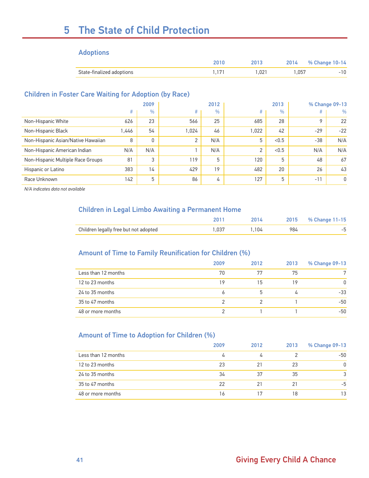# 5 The State of Child Protection

#### Adoptions

|                           |      | 2014   | % Change 10-14 |
|---------------------------|------|--------|----------------|
| State-finalized adoptions | .021 | 057. ، |                |

#### Children in Foster Care Waiting for Adoption (by Race)

|                                    |       | 2009          | 2012  |               | 2013  |       | % Change 09-13 |       |
|------------------------------------|-------|---------------|-------|---------------|-------|-------|----------------|-------|
|                                    | #     | $\frac{0}{0}$ | #     | $\frac{0}{0}$ | #     | $\%$  | #              | $\%$  |
| Non-Hispanic White                 | 626   | 23            | 566   | 25            | 685   | 28    | 9              | 22    |
| Non-Hispanic Black                 | 1.446 | 54            | 1.024 | 46            | 1,022 | 42    | $-29$          | $-22$ |
| Non-Hispanic Asian/Native Hawaiian | 8     | 0             | 2     | N/A           | 5     | < 0.5 | $-38$          | N/A   |
| Non-Hispanic American Indian       | N/A   | N/A           |       | N/A           | 2     | < 0.5 | N/A            | N/A   |
| Non-Hispanic Multiple Race Groups  | 81    | 3             | 119   | 5             | 120   | 5     | 48             | 67    |
| Hispanic or Latino                 | 383   | 14            | 429   | 19            | 482   | 20    | 26             | 43    |
| Race Unknown                       | 142   | 5             | 86    | 4             | 127   | 5     | $-11$          | 0     |

*N/A indicates data not available*

#### Children in Legal Limbo Awaiting a Permanent Home

|                                       | 2014. |     | 2015 % Change 11-15 |
|---------------------------------------|-------|-----|---------------------|
| Children legally free but not adopted | 1.104 | 984 |                     |

#### Amount of Time to Family Reunification for Children (%)

|                     | 2009 | 2012 | 2013           | % Change 09-13 |
|---------------------|------|------|----------------|----------------|
| Less than 12 months | 70   | 77   | 75             | 7              |
| 12 to 23 months     | 19   | 15   | 19             | 0              |
| 24 to 35 months     | 6    | 5    | $\overline{4}$ | $-33$          |
| 35 to 47 months     | っ    |      |                | $-50$          |
| 48 or more months   |      |      |                | $-50$          |

#### Amount of Time to Adoption for Children (%)

|                     | 2009 | 2012 | 2013 | % Change 09-13 |
|---------------------|------|------|------|----------------|
| Less than 12 months | 4    |      |      | -50            |
| 12 to 23 months     | 23   | 21   | 23   | 0              |
| 24 to 35 months     | 34   | 37   | 35   | 3              |
| 35 to 47 months     | 22   | 21   | 21   | -5             |
| 48 or more months   | 16   |      | 18   | 13             |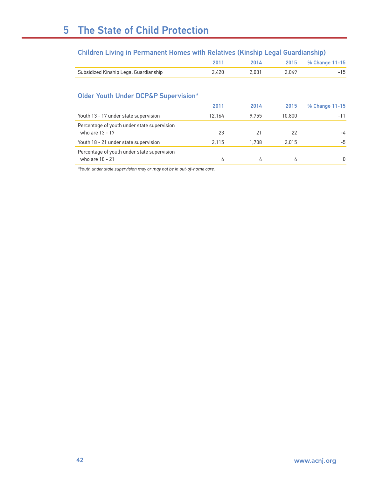#### Children Living in Permanent Homes with Relatives (Kinship Legal Guardianship)

|                                       |                 | 2014. |       | 2015 % Change 11-15 |
|---------------------------------------|-----------------|-------|-------|---------------------|
| Subsidized Kinship Legal Guardianship | <u>ን 420 - </u> | 2.081 | 2.049 |                     |

#### Older Youth Under DCP&P Supervision\*

|                                                                | 2011           | 2014  | 2015   | % Change 11-15 |
|----------------------------------------------------------------|----------------|-------|--------|----------------|
| Youth 13 - 17 under state supervision                          | 12.164         | 9.755 | 10,800 | $-11$          |
| Percentage of youth under state supervision<br>who are 13 - 17 | 23             | 21    | 22     | -4             |
| Youth 18 - 21 under state supervision                          | 2.115          | 1.708 | 2.015  | $-5$           |
| Percentage of youth under state supervision<br>who are 18 - 21 | $\overline{u}$ |       |        |                |

*\*Youth under state supervision may or may not be in out-of-home care.*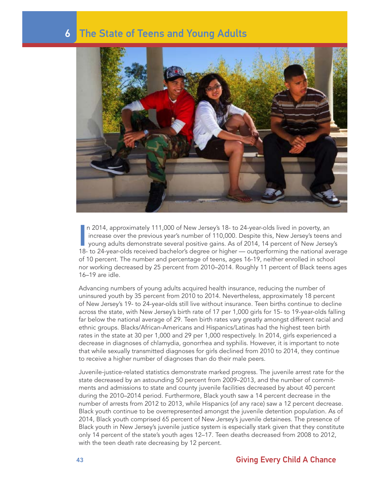

In 2014, approximately 111,000 of New Jersey's 18- to 24-year-olds lived in poverty, an increase over the previous year's number of 110,000. Despite this, New Jersey's teens and young adults demonstrate several positive ga n 2014, approximately 111,000 of New Jersey's 18- to 24-year-olds lived in poverty, an increase over the previous year's number of 110,000. Despite this, New Jersey's teens and young adults demonstrate several positive gains. As of 2014, 14 percent of New Jersey's of 10 percent. The number and percentage of teens, ages 16-19, neither enrolled in school nor working decreased by 25 percent from 2010–2014. Roughly 11 percent of Black teens ages 16–19 are idle.

Advancing numbers of young adults acquired health insurance, reducing the number of uninsured youth by 35 percent from 2010 to 2014. Nevertheless, approximately 18 percent of New Jersey's 19- to 24-year-olds still live without insurance. Teen births continue to decline across the state, with New Jersey's birth rate of 17 per 1,000 girls for 15- to 19-year-olds falling far below the national average of 29. Teen birth rates vary greatly amongst different racial and ethnic groups. Blacks/African-Americans and Hispanics/Latinas had the highest teen birth rates in the state at 30 per 1,000 and 29 per 1,000 respectively. In 2014, girls experienced a decrease in diagnoses of chlamydia, gonorrhea and syphilis. However, it is important to note that while sexually transmitted diagnoses for girls declined from 2010 to 2014, they continue to receive a higher number of diagnoses than do their male peers.

Juvenile-justice-related statistics demonstrate marked progress. The juvenile arrest rate for the state decreased by an astounding 50 percent from 2009–2013, and the number of commitments and admissions to state and county juvenile facilities decreased by about 40 percent during the 2010–2014 period. Furthermore, Black youth saw a 14 percent decrease in the number of arrests from 2012 to 2013, while Hispanics (of any race) saw a 12 percent decrease. Black youth continue to be overrepresented amongst the juvenile detention population. As of 2014, Black youth comprised 65 percent of New Jersey's juvenile detainees. The presence of Black youth in New Jersey's juvenile justice system is especially stark given that they constitute only 14 percent of the state's youth ages 12–17. Teen deaths decreased from 2008 to 2012, with the teen death rate decreasing by 12 percent.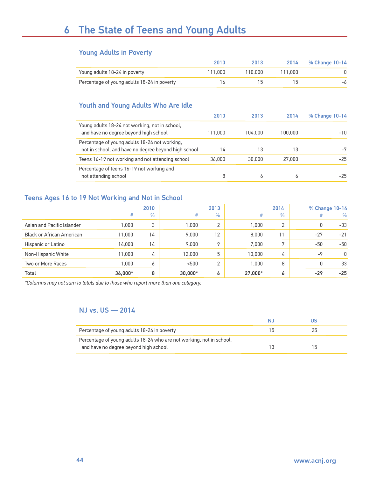#### Young Adults in Poverty

|                                             | 2010    | 2013    |         | 2014 % Change 10-14 |
|---------------------------------------------|---------|---------|---------|---------------------|
| Young adults 18-24 in poverty               | 111.000 | 110.000 | 111.000 |                     |
| Percentage of young adults 18-24 in poverty | ۱6      |         |         |                     |

#### Youth and Young Adults Who Are Idle

|                                                                                                       | 2010    | 2013    | 2014         | % Change 10-14 |
|-------------------------------------------------------------------------------------------------------|---------|---------|--------------|----------------|
| Young adults 18-24 not working, not in school,<br>and have no degree beyond high school               | 111.000 | 104.000 | 100.000      | $-10$          |
| Percentage of young adults 18-24 not working,<br>not in school, and have no degree beyond high school | 14      | 13      | 13           | -7             |
| Teens 16-19 not working and not attending school                                                      | 36,000  | 30,000  | 27,000       | $-25$          |
| Percentage of teens 16-19 not working and<br>not attending school                                     | 8       | h       | <sup>6</sup> | $-25$          |

#### Teens Ages 16 to 19 Not Working and Not in School

|                                  |         | 2010          |           | 2013          |         | 2014          |       | % Change 10-14 |
|----------------------------------|---------|---------------|-----------|---------------|---------|---------------|-------|----------------|
|                                  | #       | $\frac{0}{0}$ | #         | $\frac{0}{0}$ | #       | $\frac{0}{0}$ |       | $\frac{0}{0}$  |
| Asian and Pacific Islander       | 1.000   | 3             | 1.000     | $\Omega$      | 1.000   | $\mathcal{D}$ | 0     | $-33$          |
| <b>Black or African American</b> | 11,000  | 14            | 9.000     | 12            | 8,000   | 11            | $-27$ | $-21$          |
| Hispanic or Latino               | 14.000  | 14            | 9.000     | Q             | 7.000   | $\mathbf{r}$  | $-50$ | $-50$          |
| Non-Hispanic White               | 11,000  | 4             | 12,000    | 5             | 10,000  | 4             | -9    | 0              |
| Two or More Races                | 1.000   | O             | < 500     | ◠             | 000.1   | 8             | 0     | 33             |
| Total                            | 36,000* | 8             | $30.000*$ | ۰             | 27,000* | 6             | $-29$ | $-25$          |

*\*Columns may not sum to totals due to those who report more than one category.* 

#### NJ vs. US — 2014

| Percentage of young adults 18-24 in poverty                          | 25 |  |
|----------------------------------------------------------------------|----|--|
| Percentage of young adults 18-24 who are not working, not in school, |    |  |
| and have no degree beyond high school                                |    |  |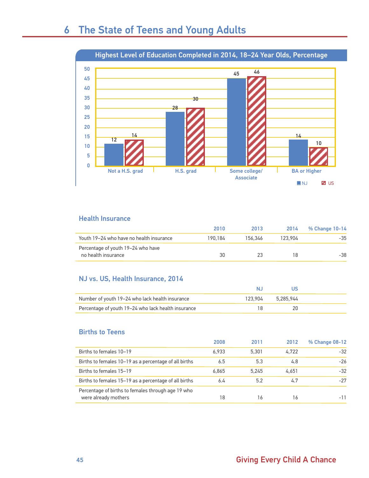

#### Health Insurance

|                                                           | 2010    | 2013    | 2014    | % Change 10-14 |
|-----------------------------------------------------------|---------|---------|---------|----------------|
| Youth 19–24 who have no health insurance                  | 190.184 | 156.346 | 123.904 | -35            |
| Percentage of youth 19–24 who have<br>no health insurance | 30      |         |         | -38            |

#### NJ vs. US, Health Insurance, 2014

| Number of youth 19–24 who lack health insurance     | 123.904 | 5.285.944 |  |
|-----------------------------------------------------|---------|-----------|--|
| Percentage of youth 19–24 who lack health insurance |         |           |  |

#### Births to Teens

|                                                                            | 2008  | 2011  | 2012  | % Change 08-12 |
|----------------------------------------------------------------------------|-------|-------|-------|----------------|
| Births to females 10-19                                                    | 6.933 | 5.301 | 4.722 | $-32$          |
| Births to females 10-19 as a percentage of all births                      | 6.5   | 5.3   | 4.8   | $-26$          |
| Births to females 15-19                                                    | 6.865 | 5.245 | 4.651 | $-32$          |
| Births to females 15-19 as a percentage of all births                      | 6.4   | 5.2   | 4.7   | $-27$          |
| Percentage of births to females through age 19 who<br>were already mothers | 18    | 16    | 16    |                |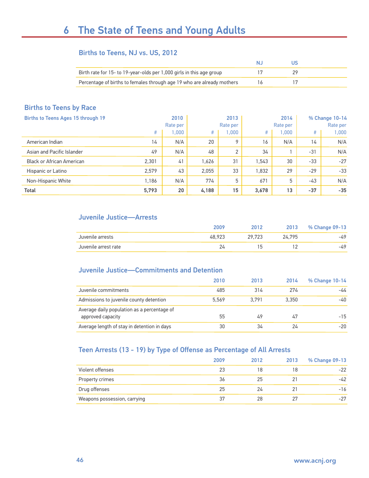#### Births to Teens, NJ vs. US, 2012

| Birth rate for 15- to 19-year-olds per 1,000 girls in this age group   |  |  |
|------------------------------------------------------------------------|--|--|
| Percentage of births to females through age 19 who are already mothers |  |  |

#### Births to Teens by Race

| Births to Teens Ages 15 through 19 |       | 2010     |       | 2013           |       | 2014     |       | % Change 10-14 |
|------------------------------------|-------|----------|-------|----------------|-------|----------|-------|----------------|
|                                    |       | Rate per |       | Rate per       |       | Rate per |       | Rate per       |
|                                    | #     | 000.1    | #     | 1.000          | #     | 1.000    | #     | .000           |
| American Indian                    | 14    | N/A      | 20    | $\circ$        | 16    | N/A      | 14    | N/A            |
| Asian and Pacific Islander         | 49    | N/A      | 48    | $\overline{2}$ | 34    |          | $-31$ | N/A            |
| <b>Black or African American</b>   | 2,301 | 41       | 1,626 | 31             | 1,543 | 30       | $-33$ | $-27$          |
| Hispanic or Latino                 | 2,579 | 43       | 2.055 | 33             | 1.832 | 29       | $-29$ | $-33$          |
| Non-Hispanic White                 | 1.186 | N/A      | 774   | 5              | 671   | 5        | $-43$ | N/A            |
| <b>Total</b>                       | 5,793 | 20       | 4,188 | 15             | 3,678 | 13       | $-37$ | $-35$          |

#### Juvenile Justice—Arrests

|                      | 2009   |        | 2013   | % Change 09-13 |
|----------------------|--------|--------|--------|----------------|
| Juvenile arrests     | 48.923 | 29.723 | 24.795 | -49            |
| Juvenile arrest rate |        |        |        | -49            |

#### Juvenile Justice—Commitments and Detention

|                                                                  | 2010  | 2013  | 2014  | % Change 10-14 |
|------------------------------------------------------------------|-------|-------|-------|----------------|
| Juvenile commitments                                             | 485   | 314   | 274   | -44            |
| Admissions to juvenile county detention                          | 5.569 | 3.791 | 3.350 | -40            |
| Average daily population as a percentage of<br>approved capacity | 55    | 49    | 47    | $-15$          |
| Average length of stay in detention in days                      | 30    | 34    | 24    | $-20$          |

#### Teen Arrests (13 - 19) by Type of Offense as Percentage of All Arrests

|                              | 2009 | 2012 | 2013 | % Change 09-13 |
|------------------------------|------|------|------|----------------|
| Violent offenses             | 23   | 18   | 18   | $-22$          |
| Property crimes              | 36   | 25   |      | $-42$          |
| Drug offenses                | 25   | 24   | 21   | $-16$          |
| Weapons possession, carrying | 37   | 28   | 27   | $-27$          |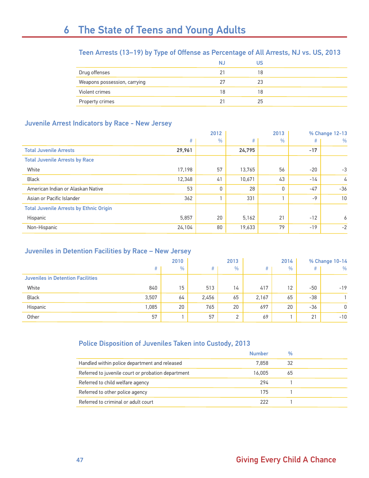#### Teen Arrests (13–19) by Type of Offense as Percentage of All Arrests, NJ vs. US, 2013

|                              | N. | JS |
|------------------------------|----|----|
| Drug offenses                |    | 18 |
| Weapons possession, carrying | 27 | 23 |
| Violent crimes               | 18 | 18 |
| Property crimes              | 21 | 25 |

#### Juvenile Arrest Indicators by Race - New Jersey

|                                                | 2012   |               | 2013   |               |       | % Change 12-13 |
|------------------------------------------------|--------|---------------|--------|---------------|-------|----------------|
|                                                | #      | $\frac{0}{0}$ | #      | $\frac{0}{0}$ | #     | $\%$           |
| <b>Total Juvenile Arrests</b>                  | 29,961 |               | 24,795 |               | $-17$ |                |
| <b>Total Juvenile Arrests by Race</b>          |        |               |        |               |       |                |
| White                                          | 17,198 | 57            | 13,765 | 56            | $-20$ | $-3$           |
| <b>Black</b>                                   | 12,348 | 41            | 10,671 | 43            | $-14$ | 4              |
| American Indian or Alaskan Native              | 53     | 0             | 28     | 0             | $-47$ | $-36$          |
| Asian or Pacific Islander                      | 362    |               | 331    |               | $-9$  | 10             |
| <b>Total Juvenile Arrests by Ethnic Origin</b> |        |               |        |               |       |                |
| Hispanic                                       | 5,857  | 20            | 5,162  | 21            | $-12$ | 6              |
| Non-Hispanic                                   | 24,104 | 80            | 19,633 | 79            | $-19$ | $-2$           |

#### Juveniles in Detention Facilities by Race – New Jersey

|                                          | 2010  |      | 2013  |               | 2014  |      | % Change 10-14 |       |
|------------------------------------------|-------|------|-------|---------------|-------|------|----------------|-------|
|                                          | #     | $\%$ | #     | $\frac{0}{0}$ | #     | $\%$ | #              | $\%$  |
| <b>Juveniles in Detention Facilities</b> |       |      |       |               |       |      |                |       |
| White                                    | 840   | 15   | 513   | 14            | 417   | 12   | $-50$          | $-19$ |
| <b>Black</b>                             | 3,507 | 64   | 2,456 | 65            | 2,167 | 65   | $-38$          |       |
| Hispanic                                 | ,085  | 20   | 765   | 20            | 697   | 20   | -36            | 0     |
| Other                                    | 57    |      | 57    | $\Omega$      | 69    |      | 21             | $-10$ |

#### Police Disposition of Juveniles Taken into Custody, 2013

|                                                    | Number | $\frac{0}{0}$ |  |
|----------------------------------------------------|--------|---------------|--|
| Handled within police department and released      | 7.858  | 32            |  |
| Referred to juvenile court or probation department | 16.005 | 65            |  |
| Referred to child welfare agency                   | 294    |               |  |
| Referred to other police agency                    | 175    |               |  |
| Referred to criminal or adult court                | 222    |               |  |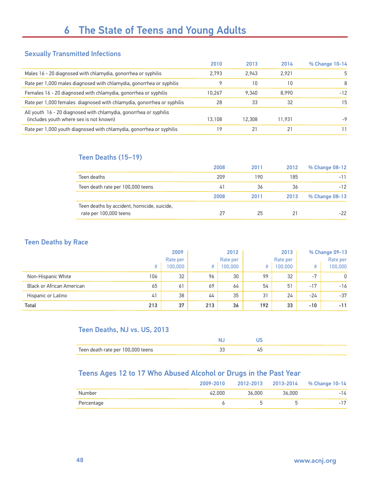#### Sexually Transmitted Infections

|                                                                                                              | 2010   | 2013   | 2014   | % Change 10-14 |
|--------------------------------------------------------------------------------------------------------------|--------|--------|--------|----------------|
| Males 16 - 20 diagnosed with chlamydia, gonorrhea or syphilis                                                | 2.793  | 2.943  | 2.921  | 5              |
| Rate per 1,000 males diagnosed with chlamydia, gonorrhea or syphilis                                         |        | 10     | 10     | 8              |
| Females 16 - 20 diagnosed with chlamydia, gonorrhea or syphilis                                              | 10.267 | 9.340  | 8.990  | $-12$          |
| Rate per 1,000 females diagnosed with chlamydia, gonorrhea or syphilis                                       | 28     | 33     | 32     | 15             |
| All youth 16 - 20 diagnosed with chlamydia, gonorrhea or syphilis<br>(includes youth where sex is not known) | 13.108 | 12.308 | 11.931 | -9             |
| Rate per 1,000 youth diagnosed with chlamydia, gonorrhea or syphilis                                         | 19     |        |        |                |

#### Teen Deaths (15–19)

|                                                                       | 2008 | 2011 | 2012 | % Change 08-12 |
|-----------------------------------------------------------------------|------|------|------|----------------|
| Teen deaths                                                           | 209  | 190  | 185  | $-11$          |
| Teen death rate per 100,000 teens                                     | 41   | 36   | 36   | $-12$          |
|                                                                       | 2008 | 2011 | 2013 | % Change 08-13 |
| Teen deaths by accident, homicide, suicide,<br>rate per 100,000 teens | 27   | 25   | 21   | $-22$          |

#### Teen Deaths by Race

|                                  | 2009 |          | 2012 | 2013     |     |          | % Change 09-13 |          |
|----------------------------------|------|----------|------|----------|-----|----------|----------------|----------|
|                                  |      | Rate per |      | Rate per |     | Rate per |                | Rate per |
|                                  | #    | 100.000  | #    | 100,000  | #   | 100,000  | #              | 100,000  |
| Non-Hispanic White               | 106  | 32       | 96   | 30       | 99  | 32       | $-7$           | 0        |
| <b>Black or African American</b> | 65   | 61       | 69   | 64       | 54  | 51       | $-17$          | $-16$    |
| Hispanic or Latino               | 41   | 38       | 44   | 35       | 31  | 24       | -24            | $-37$    |
| <b>Total</b>                     | 213  | 37       | 213  | 36       | 192 | 33       | $-10$          | $-11$    |

#### Teen Deaths, NJ vs. US, 2013

| Teen death rate per 100,000 teens |  |
|-----------------------------------|--|

### Teens Ages 12 to 17 Who Abused Alcohol or Drugs in the Past Year

|            | 2009-2010 |        |        | 2012-2013 2013-2014 % Change 10-14 |
|------------|-----------|--------|--------|------------------------------------|
| Number     | 42.000    | 36,000 | 36.000 | $-14$                              |
| Percentage |           |        |        | 1 <sub>7</sub><br>$\qquad \qquad$  |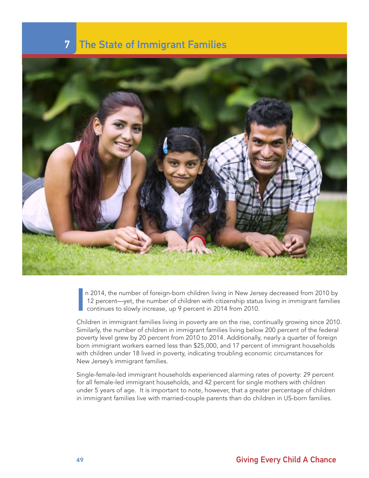### **7** The State of Immigrant Families



I n 2014, the number of foreign-born children living in New Jersey decreased from 2010 by 12 percent—yet, the number of children with citizenship status living in immigrant families continues to slowly increase, up 9 percent in 2014 from 2010.

Children in immigrant families living in poverty are on the rise, continually growing since 2010. Similarly, the number of children in immigrant families living below 200 percent of the federal poverty level grew by 20 percent from 2010 to 2014. Additionally, nearly a quarter of foreign born immigrant workers earned less than \$25,000, and 17 percent of immigrant households with children under 18 lived in poverty, indicating troubling economic circumstances for New Jersey's immigrant families.

Single-female-led immigrant households experienced alarming rates of poverty: 29 percent for all female-led immigrant households, and 42 percent for single mothers with children under 5 years of age. It is important to note, however, that a greater percentage of children in immigrant families live with married-couple parents than do children in US-born families.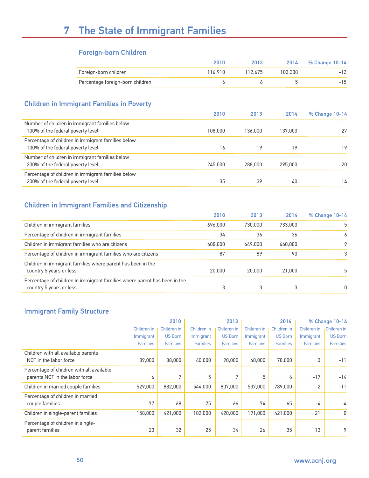# 7 The State of Immigrant Families

#### Foreign-born Children

|                                  | 2010    | 2013    |         | 2014 % Change 10-14 |
|----------------------------------|---------|---------|---------|---------------------|
| Foreign-born children            | 116.910 | 112.675 | 103.338 | $-12$               |
| Percentage foreign-born children |         |         |         | $-15$               |

#### Children in Immigrant Families in Poverty

|                                                                                         | 2010    | 2013    | 2014    | % Change 10-14 |
|-----------------------------------------------------------------------------------------|---------|---------|---------|----------------|
| Number of children in immigrant families below<br>100% of the federal poverty level     | 108,000 | 136,000 | 137,000 | 27             |
| Percentage of children in immigrant families below<br>100% of the federal poverty level | 16      | 19      | 19      | 19             |
| Number of children in immigrant families below<br>200% of the federal poverty level     | 245,000 | 288,000 | 295,000 | 20             |
| Percentage of children in immigrant families below<br>200% of the federal poverty level | 35      | 39      | 40      | 14             |

### Children in Immigrant Families and Citizenship

|                                                                                                      | 2010    | 2013    | 2014    | % Change 10-14 |
|------------------------------------------------------------------------------------------------------|---------|---------|---------|----------------|
| Children in immigrant families                                                                       | 696,000 | 730,000 | 733,000 | 5              |
| Percentage of children in immigrant families                                                         | 34      | 36      | 36      | 6              |
| Children in immigrant families who are citizens                                                      | 608,000 | 649,000 | 660,000 | 9              |
| Percentage of children in immigrant families who are citizens                                        | 87      | 89      | 90      |                |
| Children in immigrant families where parent has been in the<br>country 5 years or less               | 20,000  | 20,000  | 21,000  | h.             |
| Percentage of children in immigrant families where parent has been in the<br>country 5 years or less | 3       |         |         | 0              |

### Immigrant Family Structure

|                                           |                 | 2010            |                 | 2013            |                 | 2014            |                 | % Change 10-14  |
|-------------------------------------------|-----------------|-----------------|-----------------|-----------------|-----------------|-----------------|-----------------|-----------------|
|                                           | Children in     | Children in     | Children in     | Children in     | Children in     | Children in     | Children in     | Children in     |
|                                           | Immigrant       | <b>US Born</b>  | Immigrant       | <b>US Born</b>  | Immigrant       | <b>US Born</b>  | Immigrant       | <b>US Born</b>  |
|                                           | <b>Families</b> | <b>Families</b> | <b>Families</b> | <b>Families</b> | <b>Families</b> | <b>Families</b> | <b>Families</b> | <b>Families</b> |
| Children with all available parents       |                 |                 |                 |                 |                 |                 |                 |                 |
| NOT in the labor force                    | 39,000          | 88,000          | 40,000          | 90,000          | 40,000          | 78,000          | 3               | $-11$           |
| Percentage of children with all available |                 |                 |                 |                 |                 |                 |                 |                 |
| parents NOT in the labor force            | 6               | 7               | 5               | $\mathbf{r}$    | 5               | 6               | $-17$           | $-14$           |
| Children in married couple families       | 529,000         | 882,000         | 544.000         | 807,000         | 537,000         | 789,000         | $\overline{2}$  | $-11$           |
| Percentage of children in married         |                 |                 |                 |                 |                 |                 |                 |                 |
| couple families                           | 77              | 68              | 75              | 66              | 74              | 65              | -4              | -4              |
| Children in single-parent families        | 158,000         | 421,000         | 182,000         | 420,000         | 191.000         | 421.000         | 21              | 0               |
| Percentage of children in single-         |                 |                 |                 |                 |                 |                 |                 |                 |
| parent families                           | 23              | 32              | 25              | 34              | 26              | 35              | 13              | 9               |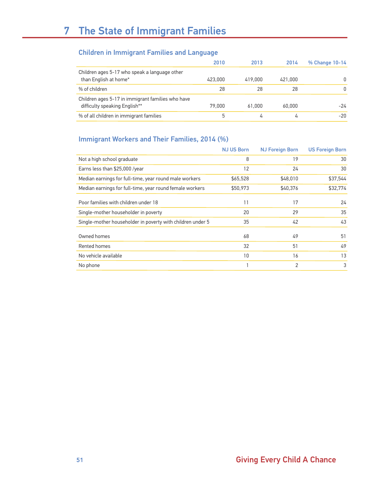# 7 The State of Immigrant Families

#### Children in Immigrant Families and Language

|                                                                                    | 2010    | 2013    | 2014    | % Change 10-14 |
|------------------------------------------------------------------------------------|---------|---------|---------|----------------|
| Children ages 5-17 who speak a language other<br>than English at home*             | 423,000 | 419,000 | 421,000 | $\Omega$       |
| % of children                                                                      | 28      | 28      | 28      | 0              |
| Children ages 5-17 in immigrant families who have<br>difficulty speaking English** | 79,000  | 61.000  | 60.000  | $-24$          |
| % of all children in immigrant families                                            | 5       | 4       | 4       | $-20$          |

#### Immigrant Workers and Their Families, 2014 (%)

|                                                            | <b>NJ US Born</b> | <b>NJ Foreign Born</b> | <b>US Foreign Born</b> |
|------------------------------------------------------------|-------------------|------------------------|------------------------|
| Not a high school graduate                                 | 8                 | 19                     | 30                     |
| Earns less than \$25,000 /year                             | 12                | 24                     | 30                     |
| Median earnings for full-time, year round male workers     | \$65,528          | \$48,010               | \$37,544               |
| Median earnings for full-time, year round female workers   | \$50,973          | \$40,376               | \$32,774               |
| Poor families with children under 18                       | 11                | 17                     | 24                     |
| Single-mother householder in poverty                       | 20                | 29                     | 35                     |
| Single-mother householder in poverty with children under 5 | 35                | 42                     | 43                     |
| Owned homes                                                | 68                | 49                     | 51                     |
| Rented homes                                               | 32                | 51                     | 49                     |
| No vehicle available                                       | 10                | 16                     | 13                     |
| No phone                                                   |                   | $\overline{2}$         | 3                      |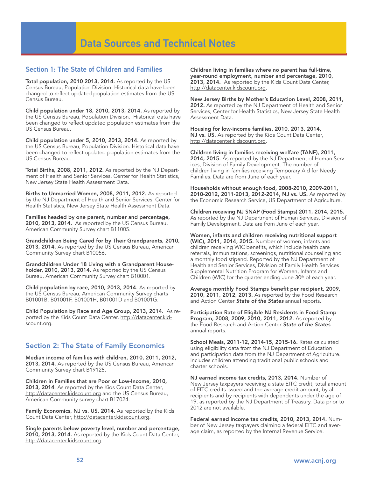#### Section 1: The State of Children and Families

Total population, 2010 2013, 2014. As reported by the US Census Bureau, Population Division. Historical data have been changed to reflect updated population estimates from the US Census Bureau.

Child population under 18, 2010, 2013, 2014. As reported by the US Census Bureau, Population Division. Historical data have been changed to reflect updated population estimates from the US Census Bureau.

Child population under 5, 2010, 2013, 2014. As reported by the US Census Bureau, Population Division. Historical data have been changed to reflect updated population estimates from the US Census Bureau.

Total Births, 2008, 2011, 2012. As reported by the NJ Department of Health and Senior Services, Center for Health Statistics, New Jersey State Health Assessment Data.

Births to Unmarried Women, 2008, 2011, 2012. As reported by the NJ Department of Health and Senior Services, Center for Health Statistics, New Jersey State Health Assessment Data.

Families headed by one parent, number and percentage, 2010, 2013, 2014. As reported by the US Census Bureau, American Community Survey chart B11005.

Grandchildren Being Cared for by Their Grandparents, 2010, 2013, 2014. As reported by the US Census Bureau, American Community Survey chart B10056.

Grandchildren Under 18 Living with a Grandparent Householder, 2010, 2013, 2014. As reported by the US Census Bureau, American Community Survey chart B10001.

Child population by race, 2010, 2013, 2014. As reported by the US Census Bureau, American Community Survey charts B01001B, B01001F, B01001H, B01001D and B01001G.

Child Population by Race and Age Group, 2013, 2014. As reported by the Kids Count Data Center, http://datacenter.kidscount.org.

#### Section 2: The State of Family Economics

Median income of families with children, 2010, 2011, 2012, 2013, 2014. As reported by the US Census Bureau, American Community Survey chart B19125.

Children in Families that are Poor or Low-Income, 2010, 2013, 2014. As reported by the Kids Count Data Center, http://datacenter.kidscount.org and the US Census Bureau, American Community survey chart B17024.

Family Economics, NJ vs. US, 2014. As reported by the Kids Count Data Center, http://datacenter.kidscount.org.

Single parents below poverty level, number and percentage, 2010, 2013, 2014. As reported by the Kids Count Data Center, http://datacenter.kidscount.org.

Children living in families where no parent has full-time, year-round employment, number and percentage, 2010, 2013, 2014. As reported by the Kids Count Data Center, http://datacenter.kidscount.org.

New Jersey Births by Mother's Education Level, 2008, 2011, 2012. As reported by the NJ Department of Health and Senior Services, Center for Health Statistics, New Jersey State Health Assessment Data.

Housing for low-income families, 2010, 2013, 2014, NJ vs. US. As reported by the Kids Count Data Center, http://datacenter.kidscount.org.

Children living in families receiving welfare (TANF), 2011, 2014, 2015. As reported by the NJ Department of Human Services, Division of Family Development. The number of children living in families receiving Temporary Aid for Needy Families. Data are from June of each year.

Households without enough food, 2008-2010, 2009-2011, 2010-2012, 2011-2013, 2012-2014, NJ vs. US. As reported by the Economic Research Service, US Department of Agriculture.

Children receiving NJ SNAP (Food Stamps) 2011, 2014, 2015. As reported by the NJ Department of Human Services, Division of Family Development. Data are from June of each year.

Women, infants and children receiving nutritional support (WIC), 2011, 2014, 2015. Number of women, infants and children receiving WIC benefits, which include health care referrals, immunizations, screenings, nutritional counseling and a monthly food stipend. Reported by the NJ Department of Health and Senior Services, Division of Family Health Services Supplemental Nutrition Program for Women, Infants and Children (WIC) for the quarter ending June 30<sup>th</sup> of each year.

Average monthly Food Stamps benefit per recipient, 2009, 2010, 2011, 2012, 2013. As reported by the Food Research and Action Center State of the States annual reports.

Participation Rate of Eligible NJ Residents in Food Stamp Program, 2008, 2009, 2010, 2011, 2012. As reported by the Food Research and Action Center State of the States annual reports.

School Meals, 2011-12, 2014-15, 2015-16. Rates calculated using eligibility data from the NJ Department of Education and participation data from the NJ Department of Agriculture. Includes children attending traditional public schools and charter schools.

NJ earned income tax credits, 2013, 2014. Number of New Jersey taxpayers receiving a state EITC credit, total amount of EITC credits issued and the average credit amount, by all recipients and by recipients with dependents under the age of 19, as reported by the NJ Department of Treasury. Data prior to 2012 are not available.

Federal earned income tax credits, 2010, 2013, 2014. Number of New Jersey taxpayers claiming a federal EITC and average claim, as reported by the Internal Revenue Service.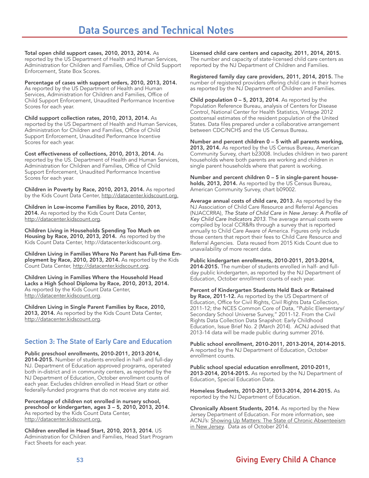Total open child support cases, 2010, 2013, 2014. As reported by the US Department of Health and Human Services, Administration for Children and Families, Office of Child Support Enforcement, State Box Scores.

Percentage of cases with support orders, 2010, 2013, 2014. As reported by the US Department of Health and Human Services, Administration for Children and Families, Office of Child Support Enforcement, Unaudited Performance Incentive Scores for each year.

Child support collection rates, 2010, 2013, 2014. As reported by the US Department of Health and Human Services, Administration for Children and Families, Office of Child Support Enforcement, Unaudited Performance Incentive Scores for each year.

Cost effectiveness of collections, 2010, 2013, 2014. As reported by the US. Department of Health and Human Services, Administration for Children and Families, Office of Child Support Enforcement, Unaudited Performance Incentive Scores for each year.

Children in Poverty by Race, 2010, 2013, 2014. As reported by the Kids Count Data Center, http://datacenter.kidscount.org.

Children in Low-income Families by Race, 2010, 2013, 2014. As reported by the Kids Count Data Center, http://datacenter.kidscount.org.

Children Living in Households Spending Too Much on Housing by Race, 2010, 2013, 2014. As reported by the Kids Count Data Center, http://datacenter.kidscount.org.

Children Living in Families Where No Parent has Full-time Employment by Race, 2010, 2013, 2014. As reported by the Kids Count Data Center, http://datacenter.kidscount.org.

Children Living in Families Where the Household Head Lacks a High School Diploma by Race, 2010, 2013, 2014. As reported by the Kids Count Data Center, http://datacenter.kidscount.org.

Children Living in Single Parent Families by Race, 2010, 2013, 2014. As reported by the Kids Count Data Center, http://datacenter.kidscount.org.

#### Section 3: The State of Early Care and Education

Public preschool enrollments, 2010-2011, 2013-2014, 2014-2015. Number of students enrolled in half- and full-day NJ. Department of Education approved programs, operated both in-district and in community centers, as reported by the NJ Department of Education, October enrollment counts of each year. Excludes children enrolled in Head Start or other federally-funded programs that do not receive any state aid.

Percentage of children not enrolled in nursery school, preschool or kindergarten, ages 3 – 5, 2010, 2013, 2014. As reported by the Kids Count Data Center, http://datacenter.kidscount.org.

Children enrolled in Head Start, 2010, 2013, 2014. US Administration for Children and Families, Head Start Program Fact Sheets for each year.

Licensed child care centers and capacity, 2011, 2014, 2015. The number and capacity of state-licensed child care centers as reported by the NJ Department of Children and Families.

Registered family day care providers, 2011, 2014, 2015. The number of registered providers offering child care in their homes as reported by the NJ Department of Children and Families.

Child population  $0 - 5$ , 2013, 2014. As reported by the Population Reference Bureau, analysis of Centers for Disease Control, National Center for Health Statistics, Vintage 2012 postcensal estimates of the resident population of the United States. Data files prepared under a collaborative arrangement between CDC/NCHS and the US Census Bureau.

Number and percent children 0 – 5 with all parents working, 2013, 2014. As reported by the US Census Bureau, American Community Survey, chart b23008. Includes children in two parent households where both parents are working and children in single parent households where that parent is working.

Number and percent children 0 – 5 in single-parent households, 2013, 2014. As reported by the US Census Bureau, American Community Survey, chart b09002.

Average annual costs of child care, 2013. As reported by the NJ Association of Child Care Resource and Referral Agencies (NJACCRRA), The State of Child Care in New Jersey: A Profile of Key Child Care Indicators 2013. The average annual costs were compiled by local CCR&Rs through a survey that is reported annually to Child Care Aware of America. Figures only include those centers that report their fees to Child Care Resource and Referral Agencies. Data reused from 2015 Kids Count due to unavailability of more recent data.

Public kindergarten enrollments, 2010-2011, 2013-2014, 2014-2015. The number of students enrolled in half- and fullday public kindergarten, as reported by the NJ Department of Education, October enrollment counts of each year.

Percent of Kindergarten Students Held Back or Retained by Race, 2011-12. As reported by the US Department of Education, Office for Civil Rights, Civil Rights Data Collection, 2011-12; the NCES Common Core of Data, "Public Elementary/ Secondary School Universe Survey," 2011-12. From the Civil Rights Data Collection Data Snapshot: Early Childhood Education, Issue Brief No. 2 (March 2014). ACNJ advised that 2013-14 data will be made public during summer 2016.

Public school enrollment, 2010-2011, 2013-2014, 2014-2015. A reported by the NJ Department of Education, October enrollment counts.

Public school special education enrollment, 2010-2011, 2013-2014, 2014-2015. As reported by the NJ Department of Education, Special Education Data.

Homeless Students, 2010-2011, 2013-2014, 2014-2015. As reported by the NJ Department of Education.

Chronically Absent Students, 2014. As reported by the New Jersey Department of Education. For more information, see ACNJ's: Showing Up Matters: The State of Chronic Absenteeism in New Jersey. Data as of October 2014.

### 53 Giving Every Child A Chance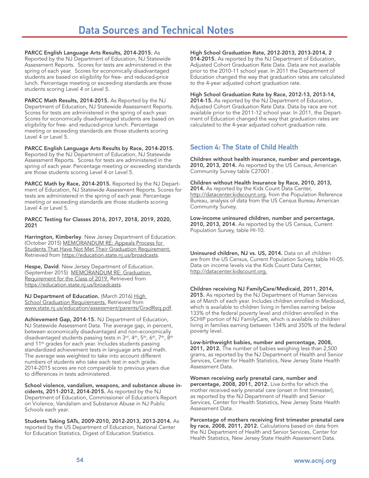PARCC English Language Arts Results, 2014-2015. As Reported by the NJ Department of Education, NJ Statewide Assessment Reports. Scores for tests are administered in the spring of each year. Scores for economically disadvantaged students are based on eligibility for free- and reduced-price lunch. Percentage meeting or exceeding standards are those students scoring Level 4 or Level 5.

PARCC Math Results, 2014-2015. As Reported by the NJ Department of Education, NJ Statewide Assessment Reports. Scores for tests are administered in the spring of each year. Scores for economically disadvantaged students are based on eligibility for free- and reduced-price lunch. Percentage meeting or exceeding standards are those students scoring Level 4 or Level 5.

PARCC English Language Arts Results by Race, 2014-2015. Reported by the NJ Department of Education, NJ Statewide Assessment Reports. Scores for tests are administered in the spring of each year. Percentage meeting or exceeding standards are those students scoring Level 4 or Level 5.

PARCC Math by Race, 2014-2015. Reported by the NJ Department of Education, NJ Statewide Assessment Reports. Scores for tests are administered in the spring of each year. Percentage meeting or exceeding standards are those students scoring Level 4 or Level 5.

#### PARCC Testing for Classes 2016, 2017, 2018, 2019, 2020, 2021

Harrington, Kimberley. New Jersey Department of Education. (October 2015) MEMORANDUM RE: Appeals Process for Students That Have Not Met Their Graduation Requirement. Retrieved from https://education.state.nj.us/broadcasts.

Hespe, David. New Jersey Department of Education. (September 2015) MEMORANDUM RE: Graduation Requirement for the Class of 2019. Retrieved from https://education.state.nj.us/broadcasts.

NJ Department of Education. (March 2016) High **School Graduation Requirements. Retrieved from** www.state.nj.us/education/assessment/parents/GradReq.pdf.

Achievement Gap, 2014-15. NJ Department of Education, NJ Statewide Assessment Data. The average gap, in percent, between economically disadvantaged and non-economically disadvantaged students passing tests in 3rd, 4<sup>th</sup>, 5<sup>th</sup>, 6<sup>th</sup>, 7<sup>th</sup>, 8<sup>th</sup> and 11<sup>th</sup> grades for each year. Includes students passing standardized achievement tests in language arts and math. The average was weighted to take into account different numbers of students who take each test in each grade. 2014-2015 scores are not comparable to previous years due to differences in tests administered.

School violence, vandalism, weapons, and substance abuse incidents, 2011-2012, 2014-2015. As reported by the NJ Department of Education, Commissioner of Education's Report on Violence, Vandalism and Substance Abuse in NJ Public Schools each year.

Students Taking SATs, 2009-2010, 2012-2013, 2013-2014. As reported by the US Department of Education, National Center for Education Statistics, Digest of Education Statistics.

High School Graduation Rate, 2012-2013, 2013-2014, 2

014-2015. As reported by the NJ Department of Education, Adjusted Cohort Graduation Rate Data. Data are not available prior to the 2010-11 school year. In 2011 the Department of Education changed the way that graduation rates are calculated to the 4-year adjusted cohort graduation rate.

#### High School Graduation Rate by Race, 2012-13, 2013-14,

2014-15. As reported by the NJ Department of Education, Adjusted Cohort Graduation Rate Data. Data by race are not available prior to the 2011-12 school year. In 2011, the Department of Education changed the way that graduation rates are calculated to the 4-year adjusted cohort graduation rate.

#### Section 4: The State of Child Health

Children without health insurance, number and percentage, 2010, 2013, 2014. As reported by the US Census, American Community Survey table C27001 .

Children without Health Insurance by Race, 2010, 2013, 2014. As reported by the Kids Count Data Center, http://datacenter.kidscount.org, from the Population Reference Bureau, analysis of data from the US Census Bureau American Community Survey.

Low-income uninsured children, number and percentage, 2010, 2013, 2014. As reported by the US Census, Current Population Survey, table HI-10.

Uninsured children, NJ vs. US, 2014. Data on all children are from the US Census, Current Population Survey, table HI-05. Data on income levels via the Kids Count Data Center, http://datacenter.kidscount.org.

#### Children receiving NJ FamilyCare/Medicaid, 2011, 2014,

2015. As reported by the NJ Department of Human Services as of March of each year. Includes children enrolled in Medicaid, which is available to children living in families earning below 133% of the federal poverty level and children enrolled in the SCHIP portion of NJ FamilyCare, which is available to children living in families earning between 134% and 350% of the federal poverty level.

Low-birthweight babies, number and percentage, 2008, 2011, 2012. The number of babies weighing less than 2,500 grams, as reported by the NJ Department of Health and Senior Services, Center for Health Statistics, New Jersey State Health Assessment Data.

Women receiving early prenatal care, number and percentage, 2008, 2011, 2012. Live births for which the mother received early prenatal care (onset in first trimester), as reported by the NJ Department of Health and Senior Services, Center for Health Statistics, New Jersey State Health Assessment Data.

Percentage of mothers receiving first trimester prenatal care by race, 2008, 2011, 2012. Calculations based on data from the NJ Department of Health and Senior Services, Center for Health Statistics, New Jersey State Health Assessment Data.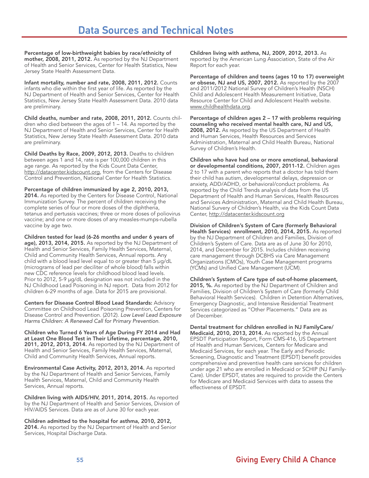Percentage of low-birthweight babies by race/ethnicity of mother, 2008, 2011, 2012. As reported by the NJ Department of Health and Senior Services, Center for Health Statistics, New Jersey State Health Assessment Data.

Infant mortality, number and rate, 2008, 2011, 2012. Counts infants who die within the first year of life. As reported by the NJ Department of Health and Senior Services, Center for Health Statistics, New Jersey State Health Assessment Data. 2010 data are preliminary.

Child deaths, number and rate, 2008, 2011, 2012. Counts children who died between the ages of 1 – 14. As reported by the NJ Department of Health and Senior Services, Center for Health Statistics, New Jersey State Health Assessment Data. 2010 data are preliminary.

Child Deaths by Race, 2009, 2012, 2013. Deaths to children between ages 1 and 14, rate is per 100,000 children in this age range. As reported by the Kids Count Data Center, http://datacenter.kidscount.org, from the Centers for Disease Control and Prevention, National Center for Health Statistics.

Percentage of children immunized by age 2, 2010, 2013, 2014. As reported by the Centers for Disease Control, National Immunization Survey. The percent of children receiving the complete series of four or more doses of the diphtheria, tetanus and pertussis vaccines; three or more doses of poliovirus vaccine; and one or more doses of any measles-mumps-rubella vaccine by age two.

Children tested for lead (6-26 months and under 6 years of age), 2013, 2014, 2015. As reported by the NJ Department of Health and Senior Services, Family Health Services, Maternal, Child and Community Health Services, Annual reports. Any child with a blood lead level equal to or greater than 5 µg/dL (micrograms of lead per deciliter of whole blood) falls within new CDC reference levels for childhood blood lead levels. Prior to 2012, 5-9 µg/dL designation was not included in the NJ Childhood Lead Poisoning in NJ report. Data from 2012 for children 6-29 months of age. Data for 2015 are provisional.

Centers for Disease Control Blood Lead Standards: Advisory Committee on Childhood Lead Poisoning Prevention, Centers for Disease Control and Prevention. (2012). Low Level Lead Exposure Harms Children: A Renewed Call for Primary Prevention.

Children who Turned 6 Years of Age During FY 2014 and Had at Least One Blood Test in Their Lifetime, percentage, 2010, 2011, 2012, 2013, 2014. As reported by the NJ Department of Health and Senior Services, Family Health Services, Maternal, Child and Community Health Services, Annual reports.

Environmental Case Activity, 2012, 2013, 2014. As reported by the NJ Department of Health and Senior Services, Family Health Services, Maternal, Child and Community Health Services, Annual reports.

Children living with AIDS/HIV, 2011, 2014, 2015. As reported by the NJ Department of Health and Senior Services, Division of HIV/AIDS Services. Data are as of June 30 for each year.

Children admitted to the hospital for asthma, 2010, 2012, 2014. As reported by the NJ Department of Health and Senior Services, Hospital Discharge Data.

Children living with asthma, NJ, 2009, 2012, 2013. As reported by the American Lung Association, State of the Air Report for each year.

Percentage of children and teens (ages 10 to 17) overweight or obsese, NJ and US, 2007, 2012. As reported by the 2007 and 2011/2012 National Survey of Children's Health (NSCH) Child and Adolescent Health Measurement Initiative, Data Resource Center for Child and Adolescent Health website. www.childhealthdata.org.

Percentage of children ages 2 – 17 with problems requiring counseling who received mental health care, NJ and US, 2008, 2012. As reported by the US Department of Health and Human Services, Health Resources and Services Administration, Maternal and Child Health Bureau, National Survey of Children's Health.

Children who have had one or more emotional, behavioral or developmental conditions, 2007, 2011-12. Children ages 2 to 17 with a parent who reports that a doctor has told them their child has autism, developmental delays, depression or anxiety, ADD/ADHD, or behavioral/conduct problems. As reported by the Child Trends analysis of data from the US Department of Health and Human Services, Health Resources and Services Administration, Maternal and Child Health Bureau, National Survery of Children's Health, via the Kids Count Data Center, http://datacenter.kidscount.org

Division of Children's System of Care (formerly Behavioral Health Services) enrollment, 2010, 2014, 2015. As reported by the NJ Department of Children and Families, Division of Children's System of Care. Data are as of June 30 for 2010, 2014, and December for 2015. Includes children receiving care management through DCBHS via Care Management Organizations (CMOs), Youth Case Management programs (YCMs) and Unified Care Management (UCM).

Children's System of Care type of out-of-home placement, 2015, %. As reported by the NJ Department of Children and Families, Division of Children's System of Care (formerly Child Behavioral Health Services). Children in Detention Alternatives, Emergency Diagnostic, and Intensive Residential Treatment Services categorized as "Other Placements." Data are as of December.

Dental treatment for children enrolled in NJ FamilyCare/ Medicaid, 2010, 2013, 2014. As reported by the Annual EPSDT Participation Report, Form CMS-416, US Department of Health and Human Services, Centers for Medicare and Medicaid Services, for each year. The Early and Periodic Screening, Diagnostic and Treatment (EPSDT) benefit provides comprehensive and preventive health care services for children under age 21 who are enrolled in Medicaid or SCHIP (NJ Family-Care). Under EPSDT, states are required to provide the Centers for Medicare and Medicaid Services with data to assess the effectiveness of EPSDT.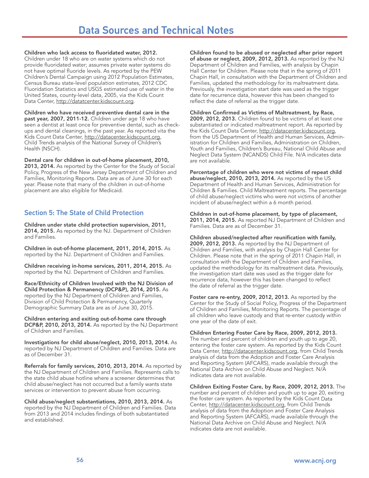Children who lack access to fluoridated water, 2012. Children under 18 who are on water systems which do not provide fluoridated water; assumes private water systems do not have optimal fluoride levels. As reported by the PEW Children's Dental Campaign using 2012 Population Estimates, Census Bureau state-level population estimates, 2012 CDC Fluoridation Statistics and USGS estimated use of water in the United States, county-level data, 2005, via the Kids Count Data Center, http://datatcenter.kidscount.org.

Children who have received preventive dental care in the past year, 2007, 2011-12. Children under age 18 who have seen a dentist at least once for preventive dental, such as checkups and dental cleanings, in the past year. As reported vita the Kids Count Data Center, http://datacenter.kidscount.org, Child Trends analysis of the National Survey of Children's Health (NSCH).

Dental care for children in out-of-home placement, 2010, 2013, 2014. As reported by the Center for the Study of Social Policy, Progress of the New Jersey Department of Children and Families, Monitoring Reports. Data are as of June 30 for each year. Please note that many of the children in out-of-home placement are also eligible for Medicaid.

#### Section 5: The State of Child Protection

Children under state child protection supervision, 2011, 2014, 2015. As reported by the NJ. Department of Children and Families.

Children in out-of-home placement, 2011, 2014, 2015. As reported by the NJ. Department of Children and Families.

Children receiving in-home services, 2011, 2014, 2015. As reported by the NJ. Department of Children and Families.

Race/Ethnicity of Children Involved with the NJ Division of Child Protection & Permanency (DCP&P), 2014, 2015. As reported by the NJ Department of Children and Families, Division of Child Protection & Permanency, Quarterly Demographic Summary Data are as of June 30, 2015.

Children entering and exiting out-of-home care through DCP&P, 2010, 2013, 2014. As reported by the NJ Department of Children and Families.

Investigations for child abuse/neglect, 2010, 2013, 2014. As reported by NJ Department of Children and Families. Data are as of December 31.

Referrals for family services, 2010, 2013, 2014. As reported by the NJ Department of Children and Families. Represents calls to the state child abuse hotline where a screener determines that child abuse/neglect has not occurred but a family wants state services or intervention to prevent abuse from occurring.

Child abuse/neglect substantiations, 2010, 2013, 2014. As reported by the NJ Department of Children and Families. Data from 2013 and 2014 includes findings of both substantiated and established.

Children found to be abused or neglected after prior report of abuse or neglect, 2009, 2012, 2013. As reported by the NJ Department of Children and Families, with analysis by Chapin Hall Center for Children. Please note that in the spring of 2011 Chapin Hall, in consultation with the Department of Children and Families, updated the methodology for its maltreatment data. Previously, the investigation start date was used as the trigger date for recurrence data, however this has been changed to reflect the date of referral as the trigger date.

Children Confirmed as Victims of Maltreatment, by Race, 2009, 2012, 2013. Children found to be victims of at least one substantiated or indicated maltreatment report. As reported by the Kids Count Data Center, http://datacenter.kidscount.org, from the US Department of Health and Human Services, Administration for Children and Families, Administration on Children, Youth and Families, Children's Bureau, National Child Abuse and Neglect Data System (NCANDS) Child File. N/A indicates data are not available.

Percentage of children who were not victims of repeat child abuse/neglect, 2010, 2013, 2014. As reported by the US Department of Health and Human Services, Administration for Children & Families. Child Maltreatment reports. The percentage of child abuse/neglect victims who were not victims of another incident of abuse/neglect within a 6 month period.

Children in out-of-home placement, by type of placement, 2011, 2014, 2015. As reported NJ Department of Children and Families. Data are as of December 31.

Children abused/neglected after reunification with family, 2009, 2012, 2013. As reported by the NJ Department of Children and Families, with analysis by Chapin Hall Center for Children. Please note that in the spring of 2011 Chapin Hall, in consultation with the Department of Children and Families, updated the methodology for its maltreatment data. Previously, the investigation start date was used as the trigger date for recurrence data, however this has been changed to reflect the date of referral as the trigger date.

Foster care re-entry, 2009, 2012, 2013. As reported by the Center for the Study of Social Policy, Progress of the Department of Children and Families, Monitoring Reports. The percentage of all children who leave custody and that re-enter custody within one year of the date of exit.

Children Entering Foster Care by Race, 2009, 2012, 2013.

The number and percent of children and youth up to age 20, entering the foster care system. As reported by the Kids Count Data Center, http://datacenter.kidscount.org, from Child Trends analysis of data from the Adoption and Foster Care Analysis and Reporting System (AFCARS), made available through the National Data Archive on Child Abuse and Neglect. N/A indicates data are not available.

Children Exiting Foster Care, by Race, 2009, 2012, 2013. The number and percent of children and youth up to age 20, exiting the foster care system. As reported by the Kids Count Data Center, http://datacenter.kidscount.org, from Child Trends analysis of data from the Adoption and Foster Care Analysis and Reporting System (AFCARS), made available through the National Data Archive on Child Abuse and Neglect. N/A indicates data are not available.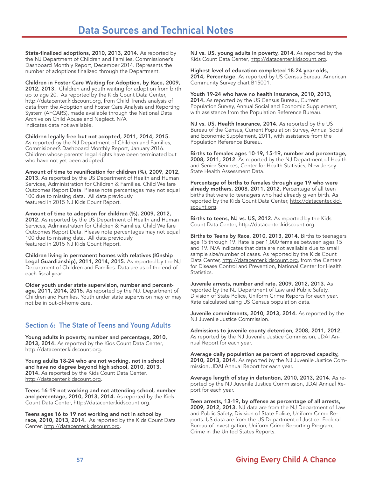### Data Sources and Technical Notes

State-finalized adoptions, 2010, 2013, 2014. As reported by the NJ Department of Children and Families, Commissioner's Dashboard Monthly Report, December 2014. Represents the number of adoptions finalized through the Department.

Children in Foster Care Waiting for Adoption, by Race, 2009, 2012, 2013. Children and youth waiting for adoption from birth up to age 20. As reported by the Kids Count Data Center, http://datacenter.kidscount.org, from Child Trends analysis of data from the Adoption and Foster Care Analysis and Reporting System (AFCARS), made available through the National Data Archive on Child Abuse and Neglect. N/A indicates data not available.

Children legally free but not adopted, 2011, 2014, 2015. As reported by the NJ Department of Children and Families, Commisioner's Dashboard Monthly Report, January 2016. Children whose parents' legal rights have been terminated but who have not yet been adopted.

Amount of time to reunification for children (%), 2009, 2012, 2013. As reported by the US Department of Health and Human Services, Administration for Children & Families. Child Welfare Outcomes Report Data. Please note percentages may not equal 100 due to missing data. All data previously featured in 2015 NJ Kids Count Report.

Amount of time to adoption for children (%), 2009, 2012, 2012. As reported by the US Department of Health and Human Services, Administration for Children & Families. Child Welfare Outcomes Report Data. Please note percentages may not equal 100 due to missing data. All data previously

featured in 2015 NJ Kids Count Report.

Children living in permanent homes with relatives (Kinship Legal Guardianship), 2011, 2014, 2015. As reported by the NJ Department of Children and Families. Data are as of the end of each fiscal year.

Older youth under state supervision, number and percentage, 2011, 2014, 2015. As reported by the NJ. Department of Children and Families. Youth under state supervision may or may not be in out-of-home care.

#### Section 6: The State of Teens and Young Adults

Young adults in poverty, number and percentage, 2010, 2013, 2014. As reported by the Kids Count Data Center, http://datacenter.kidscount.org.

Young adults 18-24 who are not working, not in school and have no degree beyond high school, 2010, 2013, 2014. As reported by the Kids Count Data Center, http://datacenter.kidscount.org.

Teens 16-19 not working and not attending school, number and percentage, 2010, 2013, 2014. As reported by the Kids Count Data Center, http://datacenter.kidscount.org.

Teens ages 16 to 19 not working and not in school by race, 2010, 2013, 2014. As reported by the Kids Count Data Center, http://datacenter.kidscount.org.

NJ vs. US, young adults in poverty, 2014. As reported by the Kids Count Data Center, http://datacenter.kidscount.org.

Highest level of education completed 18-24 year olds, 2014, Percentage. As reported by US Census Bureau, American Community Survey chart B15001.

Youth 19-24 who have no health insurance, 2010, 2013, 2014. As reported by the US Census Bureau, Current Population Survey, Annual Social and Economic Supplement, with assistance from the Population Reference Bureau.

NJ vs. US, Health Insurance, 2014. As reported by the US Bureau of the Census, Current Population Survey, Annual Social and Economic Supplement, 2011, with assistance from the Population Reference Bureau.

Births to females ages 10-19, 15-19, number and percentage, 2008, 2011, 2012. As reported by the NJ Department of Health and Senior Services, Center for Health Statistics, New Jersey State Health Assessment Data.

Percentage of births to females through age 19 who were already mothers, 2008, 2011, 2012. Percentage of all teen births that were to teenagers who had already given birth. As reported by the Kids Count Data Center, http://datacenter.kidscount.org.

Births to teens, NJ vs. US, 2012. As reported by the Kids Count Data Center, http://datacenter.kidscount.org.

Births to Teens by Race, 2010, 2013, 2014. Births to teenagers age 15 through 19. Rate is per 1,000 females between ages 15 and 19. N/A indicates that data are not available due to small sample size/number of cases. As reported by the Kids Count Data Center, http://datacenter.kidscount.org, from the Centers for Disease Control and Prevention, National Center for Health Statistics.

Juvenile arrests, number and rate, 2009, 2012, 2013. As reported by the NJ Department of Law and Public Safety, Division of State Police, Uniform Crime Reports for each year. Rate calculated using US Census population data.

Juvenile commitments, 2010, 2013, 2014. As reported by the NJ Juvenile Justice Commission.

Admissions to juvenile county detention, 2008, 2011, 2012. As reported by the NJ Juvenile Justice Commission, JDAI Annual Report for each year.

Average daily population as percent of approved capacity, 2010, 2013, 2014. As reported by the NJ Juvenile Justice Commission, JDAI Annual Report for each year.

Average length of stay in detention, 2010, 2013, 2014. As reported by the NJ Juvenile Justice Commission, JDAI Annual Report for each year.

Teen arrests, 13-19, by offense as percentage of all arrests, 2009, 2012, 2013. NJ data are from the NJ Department of Law and Public Safety, Division of State Police, Uniform Crime Reports. US data are from the US Department of Justice, Federal Bureau of Investigation, Uniform Crime Reporting Program, Crime in the United States Reports.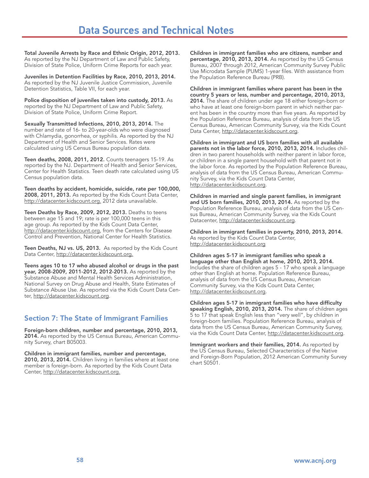Total Juvenile Arrests by Race and Ethnic Origin, 2012, 2013. As reported by the NJ Department of Law and Public Safety, Division of State Police, Uniform Crime Reports for each year.

Juveniles in Detention Facilities by Race, 2010, 2013, 2014. As reported by the NJ Juvenile Justice Commission, Juvenile Detention Statistics, Table VII, for each year.

Police disposition of juveniles taken into custody, 2013. As reported by the NJ Department of Law and Public Safety, Division of State Police, Uniform Crime Report.

Sexually Transmitted Infections, 2010, 2013, 2014. The number and rate of 16- to 20-year-olds who were diagnosed with Chlamydia, gonorrhea, or syphilis. As reported by the NJ Department of Health and Senior Services. Rates were calculated using US Census Bureau population data.

Teen deaths, 2008, 2011, 2012. Counts teenagers 15-19. As reported by the NJ. Department of Health and Senior Services, Center for Health Statistics. Teen death rate calculated using US Census population data.

Teen deaths by accident, homicide, suicide, rate per 100,000, 2008, 2011, 2013. As reported by the Kids Count Data Center, http://datacenter.kidscount.org. 2012 data unavailable.

Teen Deaths by Race, 2009, 2012, 2013. Deaths to teens between age 15 and 19; rate is per 100,000 teens in this age group. As reported by the Kids Count Data Center, http://datacenter.kidscount.org, from the Centers for Disease Control and Prevention, National Center for Health Statistics.

Teen Deaths, NJ vs. US, 2013. As reported by the Kids Count Data Center, http://datacenter.kidscount.org.

Teens ages 10 to 17 who abused alcohol or drugs in the past year, 2008-2009, 2011-2012, 2012-2013. As reported by the Substance Abuse and Mental Health Services Administration, National Survey on Drug Abuse and Health, State Estimates of Substance Abuse Use. As reported via the Kids Count Data Center, http://datacenter.kidscount.org.

#### Section 7: The State of Immigrant Families

Foreign-born children, number and percentage, 2010, 2013, 2014. As reported by the US Census Bureau, American Community Survey, chart B05003.

Children in immigrant families, number and percentage, 2010, 2013, 2014. Children living in families where at least one member is foreign-born. As reported by the Kids Count Data Center, http://datacenter.kidscount.org.

Children in immigrant families who are citizens, number and percentage, 2010, 2013, 2014. As reported by the US Census Bureau, 2007 through 2012, American Community Survey Public Use Microdata Sample (PUMS) 1-year files. With assistance from the Population Reference Bureau (PRB).

Children in immigrant families where parent has been in the country 5 years or less, number and percentage, 2010, 2013, 2014. The share of children under age 18 either foreign-born or who have at least one foreign-born parent in which neither parent has been in the country more than five years. As reported by the Population Reference Bureau, analysis of data from the US Census Bureau, American Community Survey, via the Kids Count Data Center, http://datacenter.kidscount.org.

Children in immigrant and US born families with all available parents not in the labor force, 2010, 2013, 2014. Includes children in two parent households with neither parent in labor force, or children in a single parent household with that parent not in the labor force. As reported by the Population Reference Bureau, analysis of data from the US Census Bureau, American Community Survey, via the Kids Count Data Center, http://datacenter.kidscount.org.

Children in married and single parent families, in immigrant and US born families, 2010, 2013, 2014. As reported by the Population Reference Bureau, analysis of data from the US Census Bureau, American Community Survey, via the Kids Count Datacenter, http://datacenter.kidscount.org.

Children in immigrant families in poverty, 2010, 2013, 2014. As reported by the Kids Count Data Center, http://datacenter.kidscount.org

Children ages 5-17 in immigrant families who speak a language other than English at home, 2010, 2013, 2014. Includes the share of children ages 5 - 17 who speak a language other than English at home. Population Reference Bureau, analysis of data from the US Census Bureau, American Community Survey, via the Kids Count Data Center, http://datacenter.kidscount.org.

Children ages 5-17 in immigrant families who have difficulty speaking English, 2010, 2013, 2014. The share of children ages 5 to 17 that speak English less than "very well", by children in foreign-born families. Population Reference Bureau, analysis of data from the US Census Bureau, American Community Survey, via the Kids Count Data Center, http://datacenter.kidscount.org.

Immigrant workers and their families, 2014. As reported by the US Census Bureau, Selected Characteristics of the Native and Foreign-Born Population, 2012 American Community Survey chart S0501.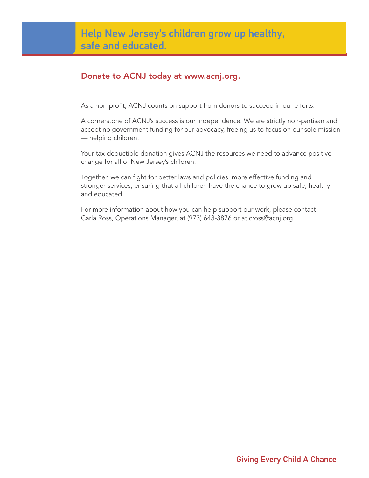### Donate to ACNJ today at www.acnj.org.

As a non-profit, ACNJ counts on support from donors to succeed in our efforts.

A cornerstone of ACNJ's success is our independence. We are strictly non-partisan and accept no government funding for our advocacy, freeing us to focus on our sole mission — helping children.

Your tax-deductible donation gives ACNJ the resources we need to advance positive change for all of New Jersey's children.

Together, we can fight for better laws and policies, more effective funding and stronger services, ensuring that all children have the chance to grow up safe, healthy and educated.

For more information about how you can help support our work, please contact Carla Ross, Operations Manager, at (973) 643-3876 or at cross@acnj.org.